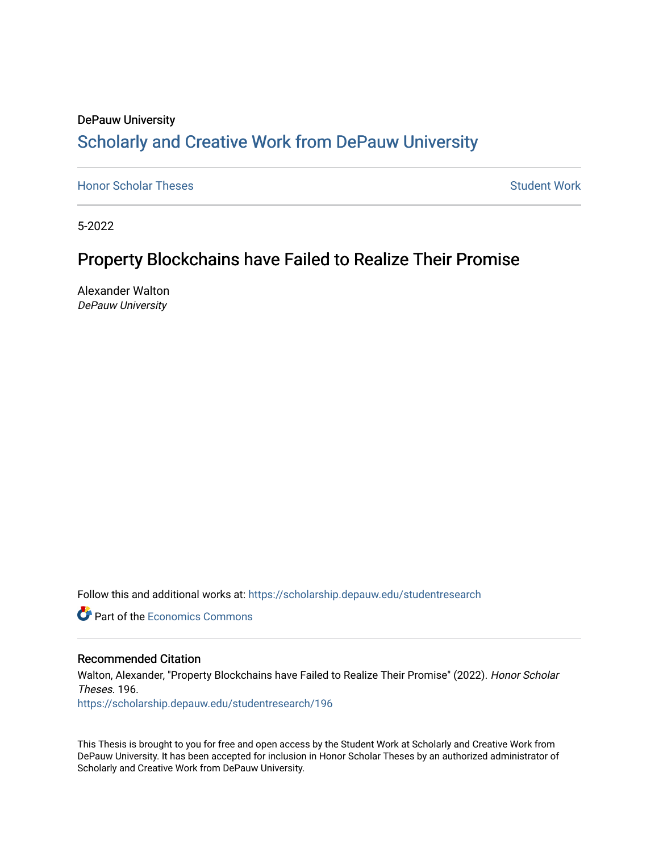## DePauw University Scholarly and [Creative Work from DePauw Univ](https://scholarship.depauw.edu/)ersity

**[Honor Scholar Theses](https://scholarship.depauw.edu/studentresearch) [Student Work](https://scholarship.depauw.edu/studentwork) Student Work Student Work** 

5-2022

## Property Blockchains have Failed to Realize Their Promise

Alexander Walton DePauw University

Follow this and additional works at: [https://scholarship.depauw.edu/studentresearch](https://scholarship.depauw.edu/studentresearch?utm_source=scholarship.depauw.edu%2Fstudentresearch%2F196&utm_medium=PDF&utm_campaign=PDFCoverPages)

**C** Part of the [Economics Commons](https://network.bepress.com/hgg/discipline/340?utm_source=scholarship.depauw.edu%2Fstudentresearch%2F196&utm_medium=PDF&utm_campaign=PDFCoverPages)

#### Recommended Citation

Walton, Alexander, "Property Blockchains have Failed to Realize Their Promise" (2022). Honor Scholar Theses. 196.

[https://scholarship.depauw.edu/studentresearch/196](https://scholarship.depauw.edu/studentresearch/196?utm_source=scholarship.depauw.edu%2Fstudentresearch%2F196&utm_medium=PDF&utm_campaign=PDFCoverPages)

This Thesis is brought to you for free and open access by the Student Work at Scholarly and Creative Work from DePauw University. It has been accepted for inclusion in Honor Scholar Theses by an authorized administrator of Scholarly and Creative Work from DePauw University.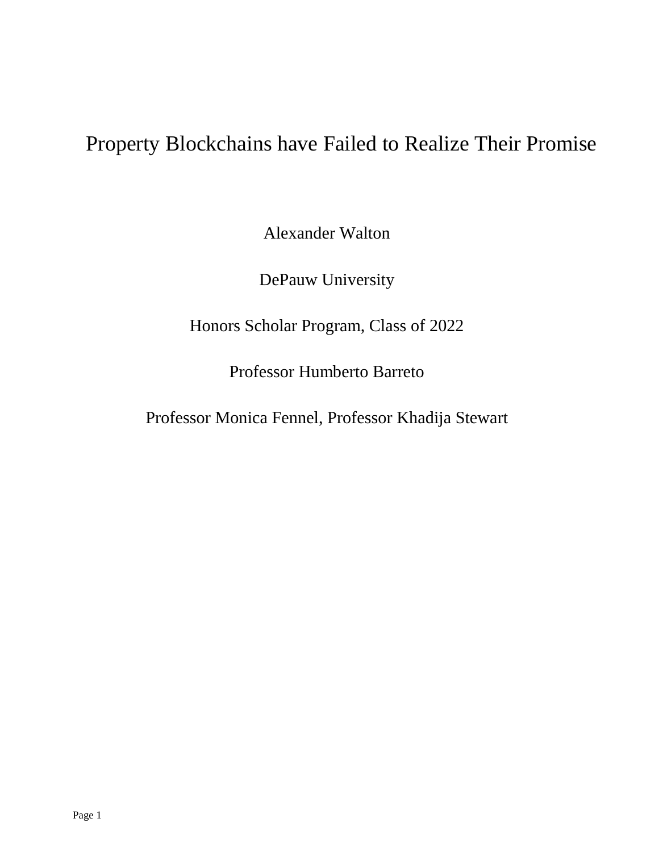# Property Blockchains have Failed to Realize Their Promise

Alexander Walton

DePauw University

Honors Scholar Program, Class of 2022

Professor Humberto Barreto

Professor Monica Fennel, Professor Khadija Stewart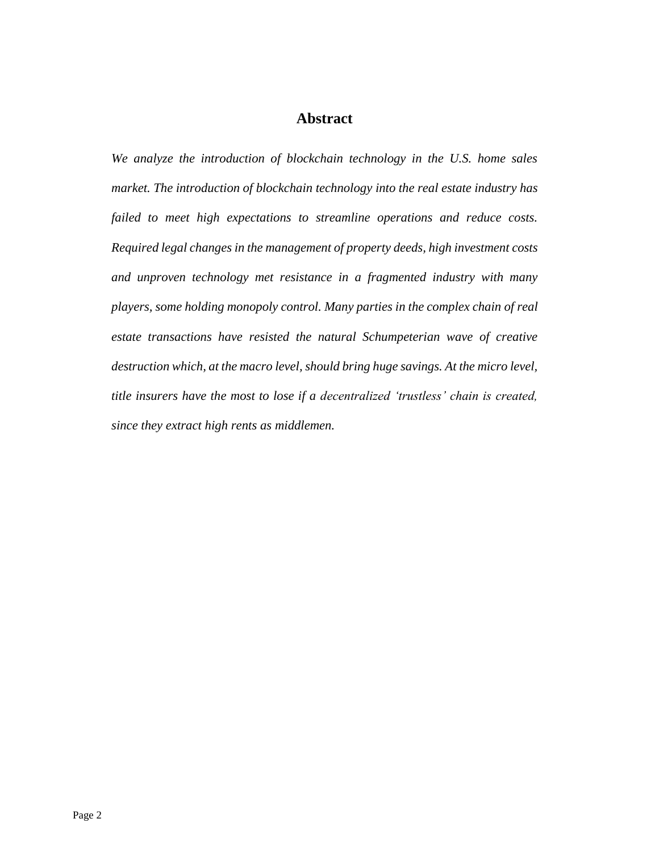#### **Abstract**

*We analyze the introduction of blockchain technology in the U.S. home sales market. The introduction of blockchain technology into the real estate industry has failed to meet high expectations to streamline operations and reduce costs. Required legal changes in the management of property deeds, high investment costs and unproven technology met resistance in a fragmented industry with many players, some holding monopoly control. Many parties in the complex chain of real estate transactions have resisted the natural Schumpeterian wave of creative destruction which, at the macro level, should bring huge savings. At the micro level, title insurers have the most to lose if a decentralized 'trustless' chain is created, since they extract high rents as middlemen.*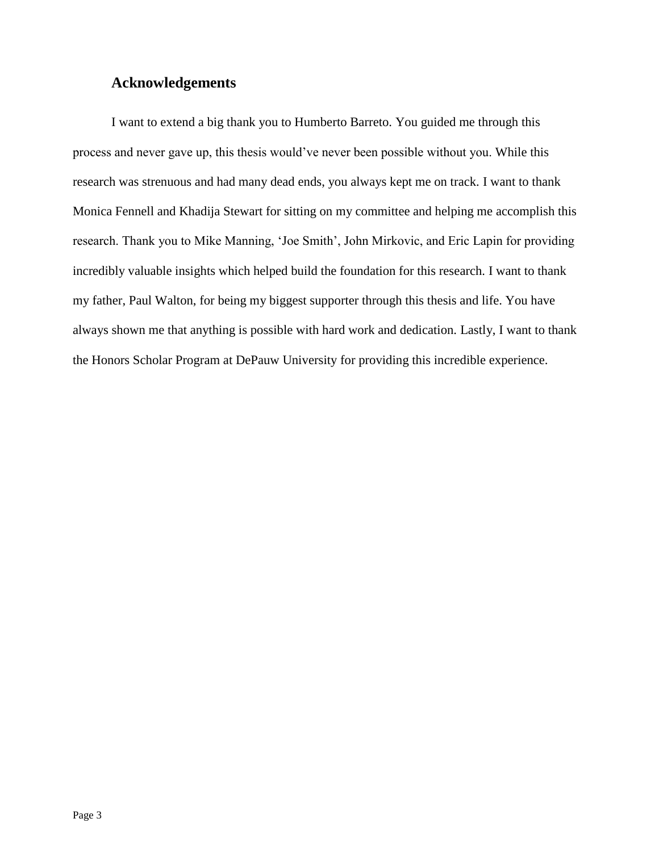#### **Acknowledgements**

I want to extend a big thank you to Humberto Barreto. You guided me through this process and never gave up, this thesis would've never been possible without you. While this research was strenuous and had many dead ends, you always kept me on track. I want to thank Monica Fennell and Khadija Stewart for sitting on my committee and helping me accomplish this research. Thank you to Mike Manning, 'Joe Smith', John Mirkovic, and Eric Lapin for providing incredibly valuable insights which helped build the foundation for this research. I want to thank my father, Paul Walton, for being my biggest supporter through this thesis and life. You have always shown me that anything is possible with hard work and dedication. Lastly, I want to thank the Honors Scholar Program at DePauw University for providing this incredible experience.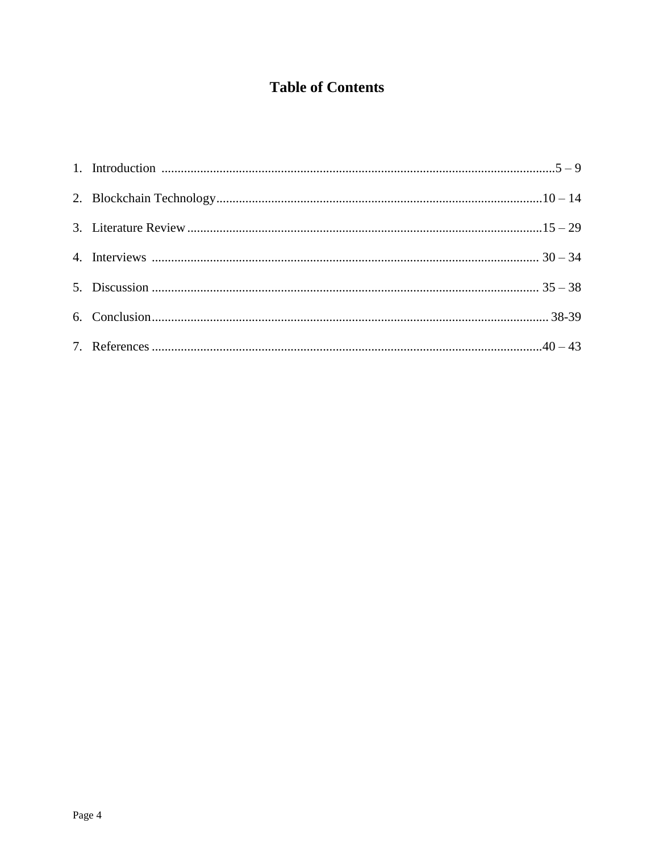## **Table of Contents**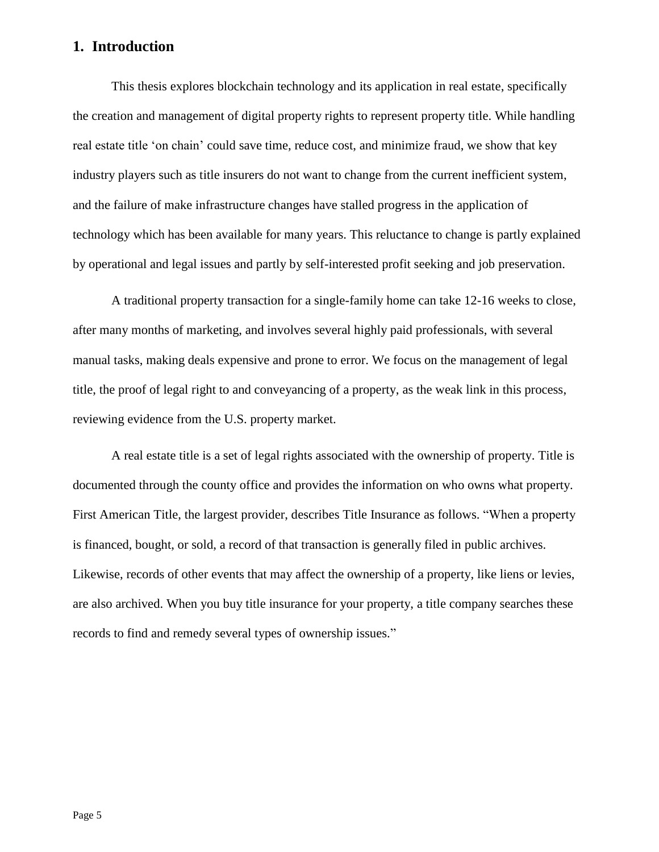#### **1. Introduction**

This thesis explores blockchain technology and its application in real estate, specifically the creation and management of digital property rights to represent property title. While handling real estate title 'on chain' could save time, reduce cost, and minimize fraud, we show that key industry players such as title insurers do not want to change from the current inefficient system, and the failure of make infrastructure changes have stalled progress in the application of technology which has been available for many years. This reluctance to change is partly explained by operational and legal issues and partly by self-interested profit seeking and job preservation.

A traditional property transaction for a single-family home can take 12-16 weeks to close, after many months of marketing, and involves several highly paid professionals, with several manual tasks, making deals expensive and prone to error. We focus on the management of legal title, the proof of legal right to and conveyancing of a property, as the weak link in this process, reviewing evidence from the U.S. property market.

A real estate title is a set of legal rights associated with the ownership of property. Title is documented through the county office and provides the information on who owns what property. First American Title, the largest provider, describes Title Insurance as follows. "When a property is financed, bought, or sold, a record of that transaction is generally filed in public archives. Likewise, records of other events that may affect the ownership of a property, like liens or levies, are also archived. When you buy title insurance for your property, a title company searches these records to find and remedy several types of ownership issues."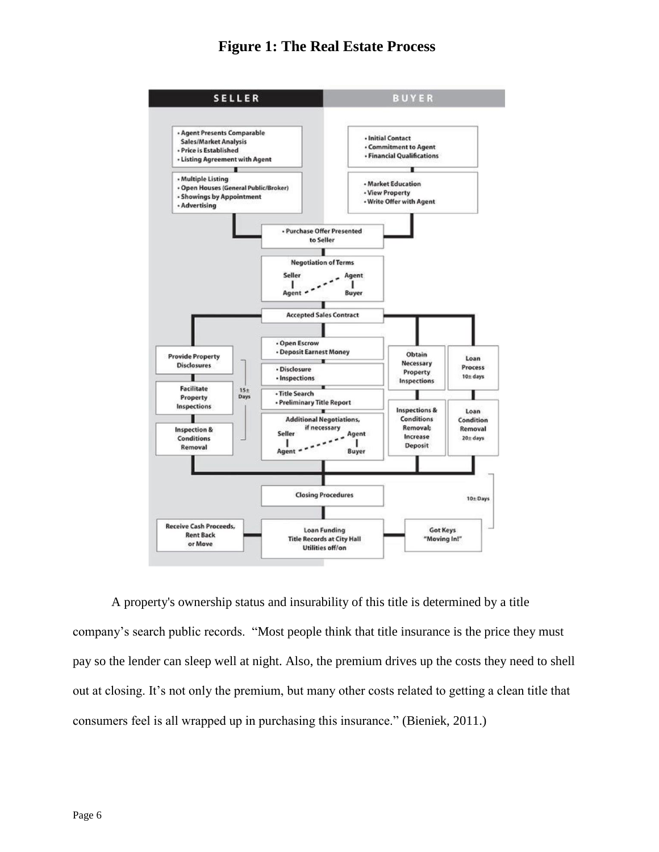#### **Figure 1: The Real Estate Process**



A property's ownership status and insurability of this title is determined by a title company's search public records. "Most people think that title insurance is the price they must pay so the lender can sleep well at night. Also, the premium drives up the costs they need to shell out at closing. It's not only the premium, but many other costs related to getting a clean title that consumers feel is all wrapped up in purchasing this insurance." (Bieniek, 2011.)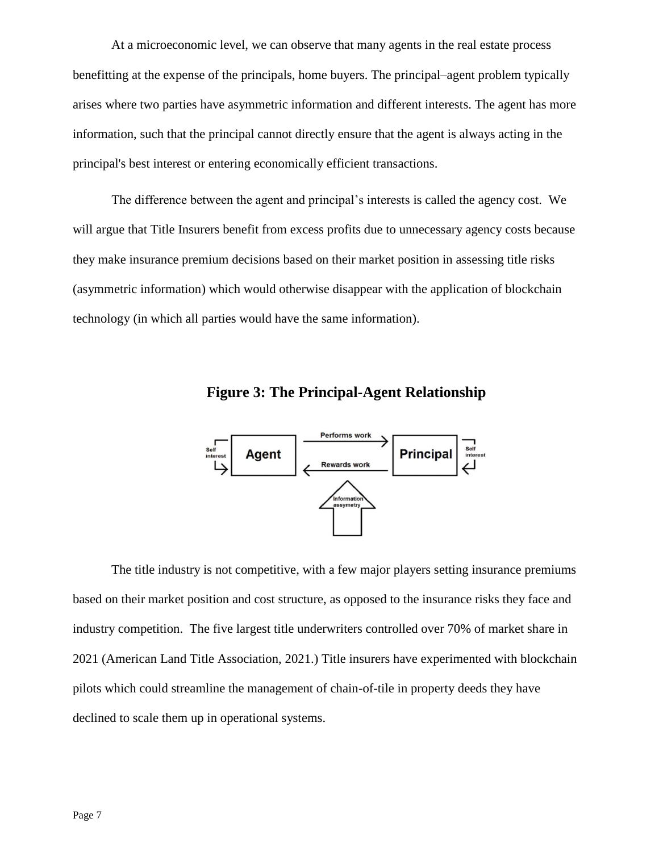At a microeconomic level, we can observe that many agents in the real estate process benefitting at the expense of the principals, home buyers. The principal–agent problem typically arises where two parties have asymmetric information and different interests. The agent has more information, such that the principal cannot directly ensure that the agent is always acting in the principal's best interest or entering economically efficient transactions.

The difference between the agent and principal's interests is called the agency cost. We will argue that Title Insurers benefit from excess profits due to unnecessary agency costs because they make insurance premium decisions based on their market position in assessing title risks (asymmetric information) which would otherwise disappear with the application of blockchain technology (in which all parties would have the same information).



**Figure 3: The Principal-Agent Relationship**

The title industry is not competitive, with a few major players setting insurance premiums based on their market position and cost structure, as opposed to the insurance risks they face and industry competition. The five largest title underwriters controlled over 70% of market share in 2021 (American Land Title Association, 2021.) Title insurers have experimented with blockchain pilots which could streamline the management of chain-of-tile in property deeds they have declined to scale them up in operational systems.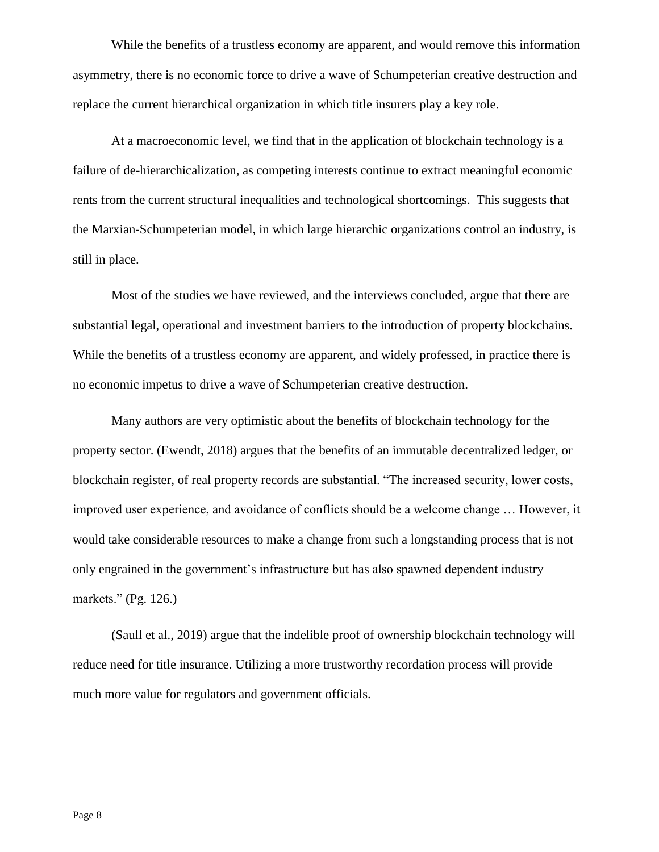While the benefits of a trustless economy are apparent, and would remove this information asymmetry, there is no economic force to drive a wave of Schumpeterian creative destruction and replace the current hierarchical organization in which title insurers play a key role.

At a macroeconomic level, we find that in the application of blockchain technology is a failure of de-hierarchicalization, as competing interests continue to extract meaningful economic rents from the current structural inequalities and technological shortcomings. This suggests that the Marxian-Schumpeterian model, in which large hierarchic organizations control an industry, is still in place.

Most of the studies we have reviewed, and the interviews concluded, argue that there are substantial legal, operational and investment barriers to the introduction of property blockchains. While the benefits of a trustless economy are apparent, and widely professed, in practice there is no economic impetus to drive a wave of Schumpeterian creative destruction.

Many authors are very optimistic about the benefits of blockchain technology for the property sector. (Ewendt, 2018) argues that the benefits of an immutable decentralized ledger, or blockchain register, of real property records are substantial. "The increased security, lower costs, improved user experience, and avoidance of conflicts should be a welcome change … However, it would take considerable resources to make a change from such a longstanding process that is not only engrained in the government's infrastructure but has also spawned dependent industry markets." (Pg. 126.)

(Saull et al., 2019) argue that the indelible proof of ownership blockchain technology will reduce need for title insurance. Utilizing a more trustworthy recordation process will provide much more value for regulators and government officials.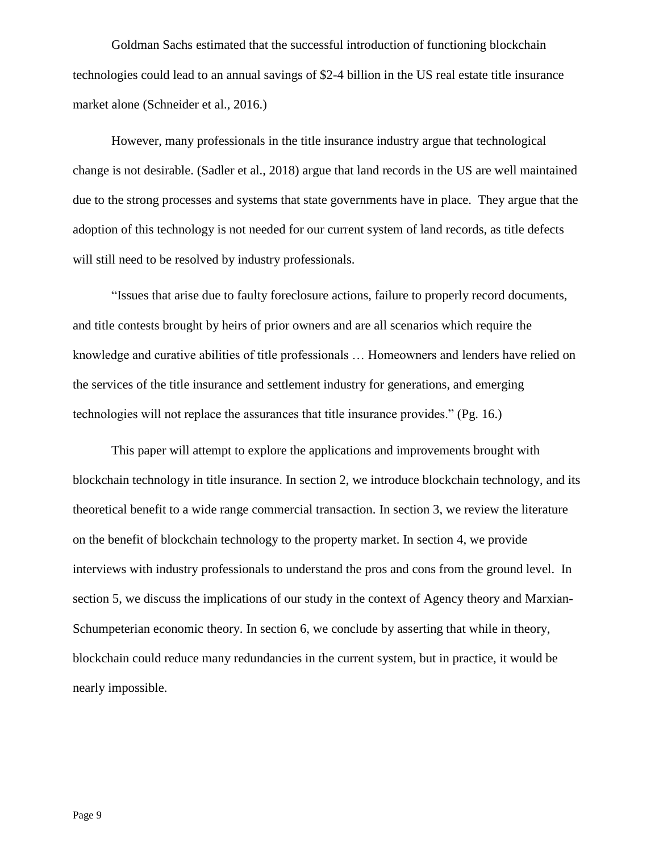Goldman Sachs estimated that the successful introduction of functioning blockchain technologies could lead to an annual savings of \$2-4 billion in the US real estate title insurance market alone (Schneider et al., 2016.)

However, many professionals in the title insurance industry argue that technological change is not desirable. (Sadler et al., 2018) argue that land records in the US are well maintained due to the strong processes and systems that state governments have in place. They argue that the adoption of this technology is not needed for our current system of land records, as title defects will still need to be resolved by industry professionals.

"Issues that arise due to faulty foreclosure actions, failure to properly record documents, and title contests brought by heirs of prior owners and are all scenarios which require the knowledge and curative abilities of title professionals … Homeowners and lenders have relied on the services of the title insurance and settlement industry for generations, and emerging technologies will not replace the assurances that title insurance provides." (Pg. 16.)

This paper will attempt to explore the applications and improvements brought with blockchain technology in title insurance. In section 2, we introduce blockchain technology, and its theoretical benefit to a wide range commercial transaction. In section 3, we review the literature on the benefit of blockchain technology to the property market. In section 4, we provide interviews with industry professionals to understand the pros and cons from the ground level. In section 5, we discuss the implications of our study in the context of Agency theory and Marxian-Schumpeterian economic theory. In section 6, we conclude by asserting that while in theory, blockchain could reduce many redundancies in the current system, but in practice, it would be nearly impossible.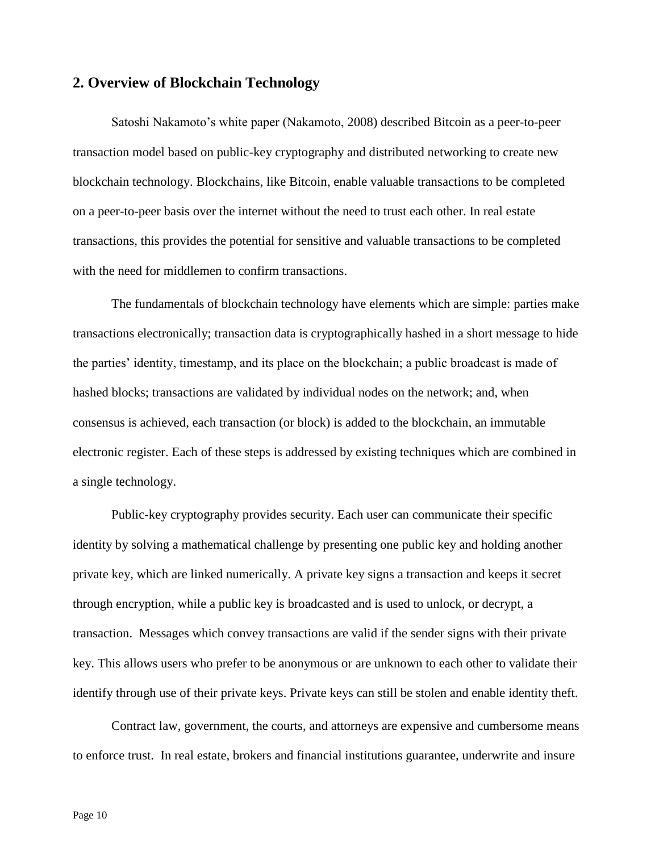#### **2. Overview of Blockchain Technology**

Satoshi Nakamoto's white paper (Nakamoto, 2008) described Bitcoin as a peer-to-peer transaction model based on public-key cryptography and distributed networking to create new blockchain technology. Blockchains, like Bitcoin, enable valuable transactions to be completed on a peer-to-peer basis over the internet without the need to trust each other. In real estate transactions, this provides the potential for sensitive and valuable transactions to be completed with the need for middlemen to confirm transactions.

The fundamentals of blockchain technology have elements which are simple: parties make transactions electronically; transaction data is cryptographically hashed in a short message to hide the parties' identity, timestamp, and its place on the blockchain; a public broadcast is made of hashed blocks; transactions are validated by individual nodes on the network; and, when consensus is achieved, each transaction (or block) is added to the blockchain, an immutable electronic register. Each of these steps is addressed by existing techniques which are combined in a single technology.

Public-key cryptography provides security. Each user can communicate their specific identity by solving a mathematical challenge by presenting one public key and holding another private key, which are linked numerically. A private key signs a transaction and keeps it secret through encryption, while a public key is broadcasted and is used to unlock, or decrypt, a transaction. Messages which convey transactions are valid if the sender signs with their private key. This allows users who prefer to be anonymous or are unknown to each other to validate their identify through use of their private keys. Private keys can still be stolen and enable identity theft.

Contract law, government, the courts, and attorneys are expensive and cumbersome means to enforce trust. In real estate, brokers and financial institutions guarantee, underwrite and insure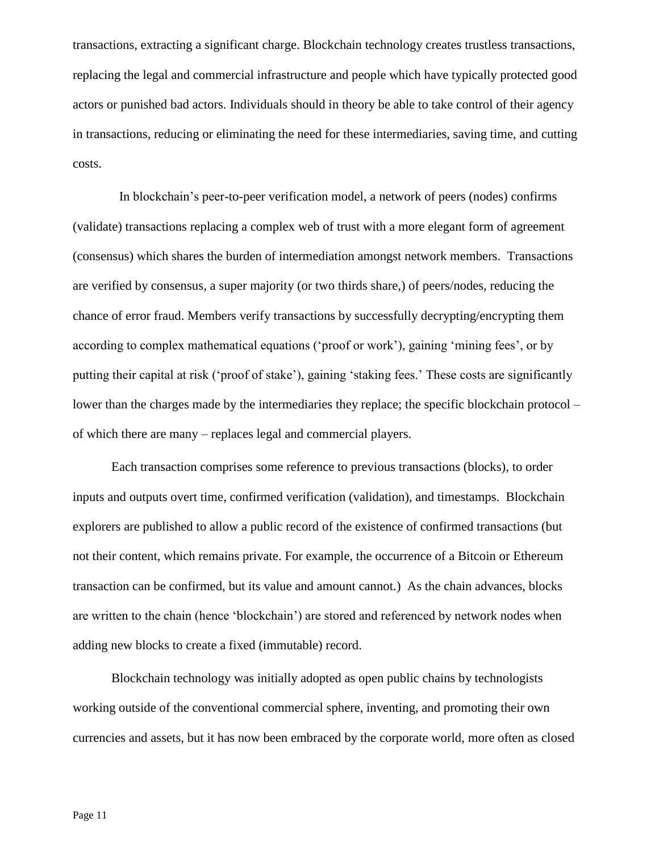transactions, extracting a significant charge. Blockchain technology creates trustless transactions, replacing the legal and commercial infrastructure and people which have typically protected good actors or punished bad actors. Individuals should in theory be able to take control of their agency in transactions, reducing or eliminating the need for these intermediaries, saving time, and cutting costs.

In blockchain's peer-to-peer verification model, a network of peers (nodes) confirms (validate) transactions replacing a complex web of trust with a more elegant form of agreement (consensus) which shares the burden of intermediation amongst network members. Transactions are verified by consensus, a super majority (or two thirds share,) of peers/nodes, reducing the chance of error fraud. Members verify transactions by successfully decrypting/encrypting them according to complex mathematical equations ('proof or work'), gaining 'mining fees', or by putting their capital at risk ('proof of stake'), gaining 'staking fees.' These costs are significantly lower than the charges made by the intermediaries they replace; the specific blockchain protocol – of which there are many – replaces legal and commercial players.

Each transaction comprises some reference to previous transactions (blocks), to order inputs and outputs overt time, confirmed verification (validation), and timestamps. Blockchain explorers are published to allow a public record of the existence of confirmed transactions (but not their content, which remains private. For example, the occurrence of a Bitcoin or Ethereum transaction can be confirmed, but its value and amount cannot.) As the chain advances, blocks are written to the chain (hence 'blockchain') are stored and referenced by network nodes when adding new blocks to create a fixed (immutable) record.

Blockchain technology was initially adopted as open public chains by technologists working outside of the conventional commercial sphere, inventing, and promoting their own currencies and assets, but it has now been embraced by the corporate world, more often as closed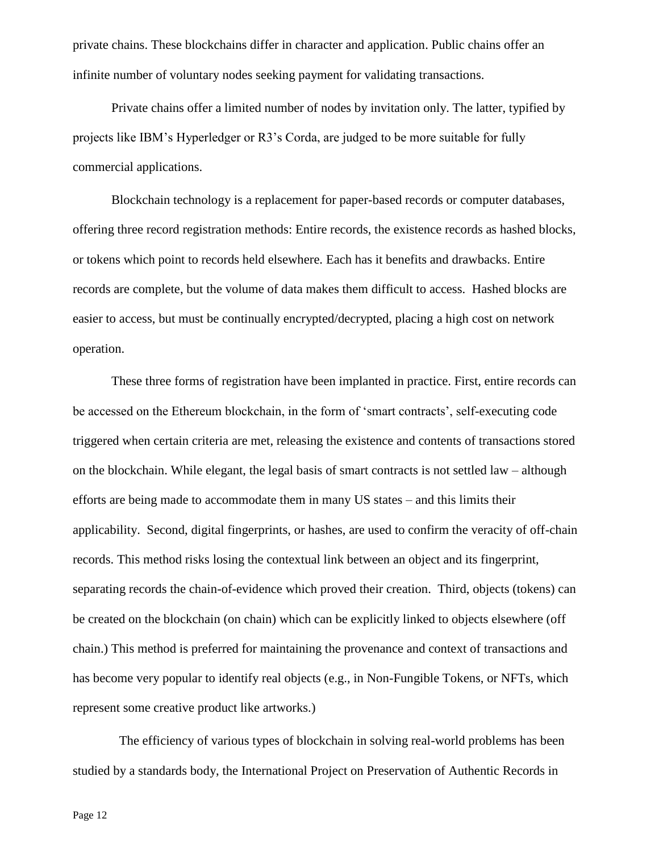private chains. These blockchains differ in character and application. Public chains offer an infinite number of voluntary nodes seeking payment for validating transactions.

Private chains offer a limited number of nodes by invitation only. The latter, typified by projects like IBM's Hyperledger or R3's Corda, are judged to be more suitable for fully commercial applications.

Blockchain technology is a replacement for paper-based records or computer databases, offering three record registration methods: Entire records, the existence records as hashed blocks, or tokens which point to records held elsewhere. Each has it benefits and drawbacks. Entire records are complete, but the volume of data makes them difficult to access. Hashed blocks are easier to access, but must be continually encrypted/decrypted, placing a high cost on network operation.

These three forms of registration have been implanted in practice. First, entire records can be accessed on the Ethereum blockchain, in the form of 'smart contracts', self-executing code triggered when certain criteria are met, releasing the existence and contents of transactions stored on the blockchain. While elegant, the legal basis of smart contracts is not settled law – although efforts are being made to accommodate them in many US states – and this limits their applicability. Second, digital fingerprints, or hashes, are used to confirm the veracity of off-chain records. This method risks losing the contextual link between an object and its fingerprint, separating records the chain-of-evidence which proved their creation. Third, objects (tokens) can be created on the blockchain (on chain) which can be explicitly linked to objects elsewhere (off chain.) This method is preferred for maintaining the provenance and context of transactions and has become very popular to identify real objects (e.g., in Non-Fungible Tokens, or NFTs, which represent some creative product like artworks.)

The efficiency of various types of blockchain in solving real-world problems has been studied by a standards body, the International Project on Preservation of Authentic Records in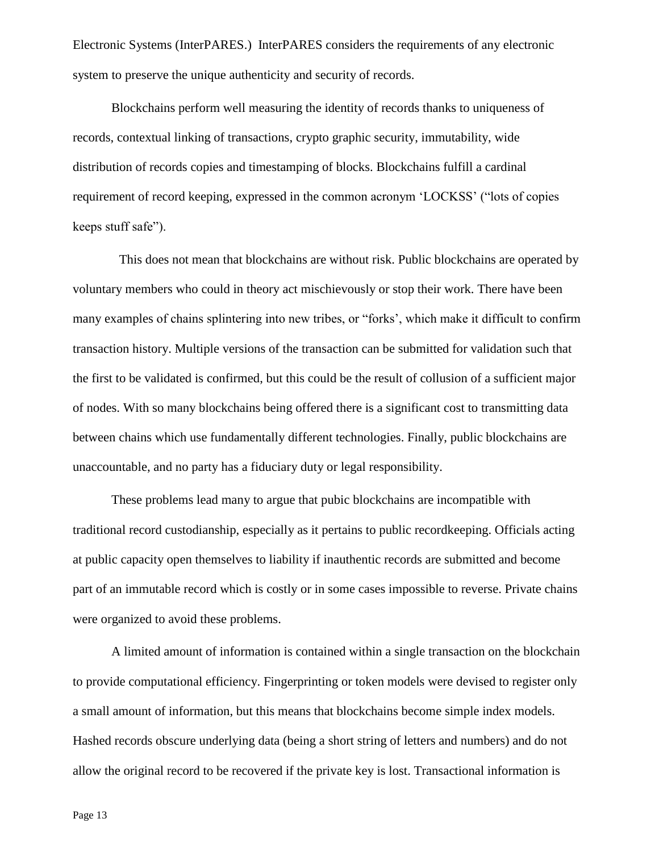Electronic Systems (InterPARES.) InterPARES considers the requirements of any electronic system to preserve the unique authenticity and security of records.

Blockchains perform well measuring the identity of records thanks to uniqueness of records, contextual linking of transactions, crypto graphic security, immutability, wide distribution of records copies and timestamping of blocks. Blockchains fulfill a cardinal requirement of record keeping, expressed in the common acronym 'LOCKSS' ("lots of copies keeps stuff safe").

This does not mean that blockchains are without risk. Public blockchains are operated by voluntary members who could in theory act mischievously or stop their work. There have been many examples of chains splintering into new tribes, or "forks', which make it difficult to confirm transaction history. Multiple versions of the transaction can be submitted for validation such that the first to be validated is confirmed, but this could be the result of collusion of a sufficient major of nodes. With so many blockchains being offered there is a significant cost to transmitting data between chains which use fundamentally different technologies. Finally, public blockchains are unaccountable, and no party has a fiduciary duty or legal responsibility.

These problems lead many to argue that pubic blockchains are incompatible with traditional record custodianship, especially as it pertains to public recordkeeping. Officials acting at public capacity open themselves to liability if inauthentic records are submitted and become part of an immutable record which is costly or in some cases impossible to reverse. Private chains were organized to avoid these problems.

A limited amount of information is contained within a single transaction on the blockchain to provide computational efficiency. Fingerprinting or token models were devised to register only a small amount of information, but this means that blockchains become simple index models. Hashed records obscure underlying data (being a short string of letters and numbers) and do not allow the original record to be recovered if the private key is lost. Transactional information is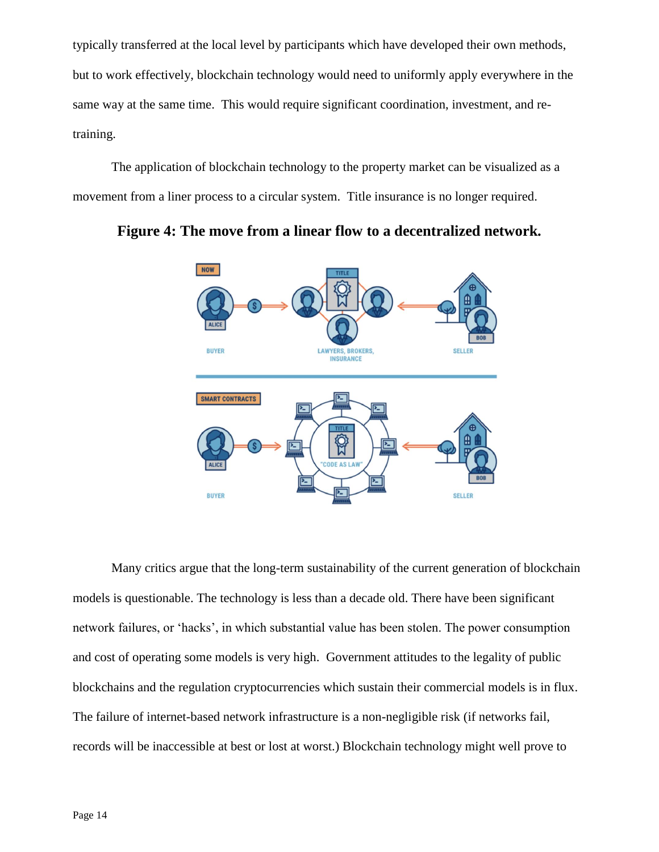typically transferred at the local level by participants which have developed their own methods, but to work effectively, blockchain technology would need to uniformly apply everywhere in the same way at the same time. This would require significant coordination, investment, and retraining.

The application of blockchain technology to the property market can be visualized as a movement from a liner process to a circular system. Title insurance is no longer required.



**Figure 4: The move from a linear flow to a decentralized network.**

Many critics argue that the long-term sustainability of the current generation of blockchain models is questionable. The technology is less than a decade old. There have been significant network failures, or 'hacks', in which substantial value has been stolen. The power consumption and cost of operating some models is very high. Government attitudes to the legality of public blockchains and the regulation cryptocurrencies which sustain their commercial models is in flux. The failure of internet-based network infrastructure is a non-negligible risk (if networks fail, records will be inaccessible at best or lost at worst.) Blockchain technology might well prove to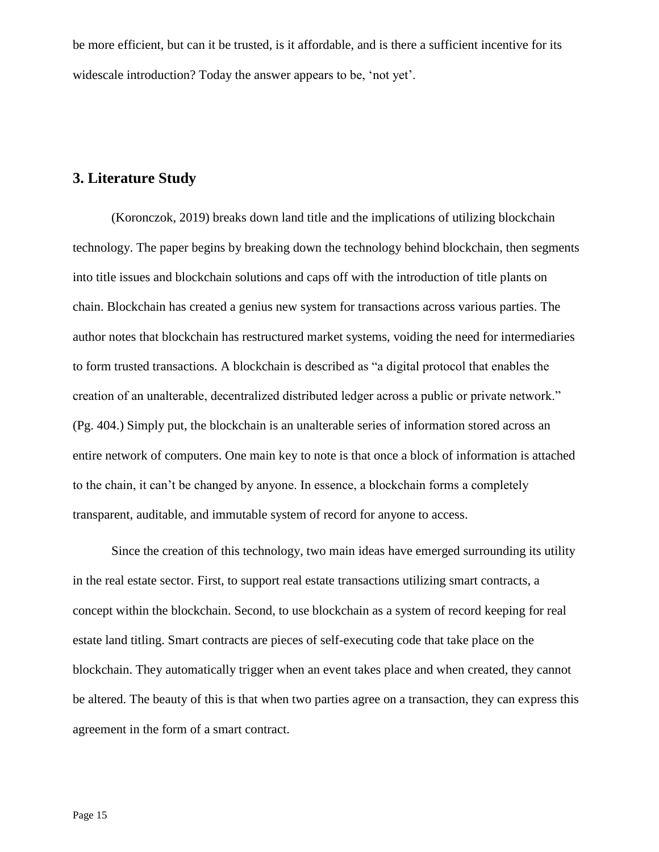be more efficient, but can it be trusted, is it affordable, and is there a sufficient incentive for its widescale introduction? Today the answer appears to be, 'not yet'.

#### **3. Literature Study**

(Koronczok, 2019) breaks down land title and the implications of utilizing blockchain technology. The paper begins by breaking down the technology behind blockchain, then segments into title issues and blockchain solutions and caps off with the introduction of title plants on chain. Blockchain has created a genius new system for transactions across various parties. The author notes that blockchain has restructured market systems, voiding the need for intermediaries to form trusted transactions. A blockchain is described as "a digital protocol that enables the creation of an unalterable, decentralized distributed ledger across a public or private network." (Pg. 404.) Simply put, the blockchain is an unalterable series of information stored across an entire network of computers. One main key to note is that once a block of information is attached to the chain, it can't be changed by anyone. In essence, a blockchain forms a completely transparent, auditable, and immutable system of record for anyone to access.

Since the creation of this technology, two main ideas have emerged surrounding its utility in the real estate sector. First, to support real estate transactions utilizing smart contracts, a concept within the blockchain. Second, to use blockchain as a system of record keeping for real estate land titling. Smart contracts are pieces of self-executing code that take place on the blockchain. They automatically trigger when an event takes place and when created, they cannot be altered. The beauty of this is that when two parties agree on a transaction, they can express this agreement in the form of a smart contract.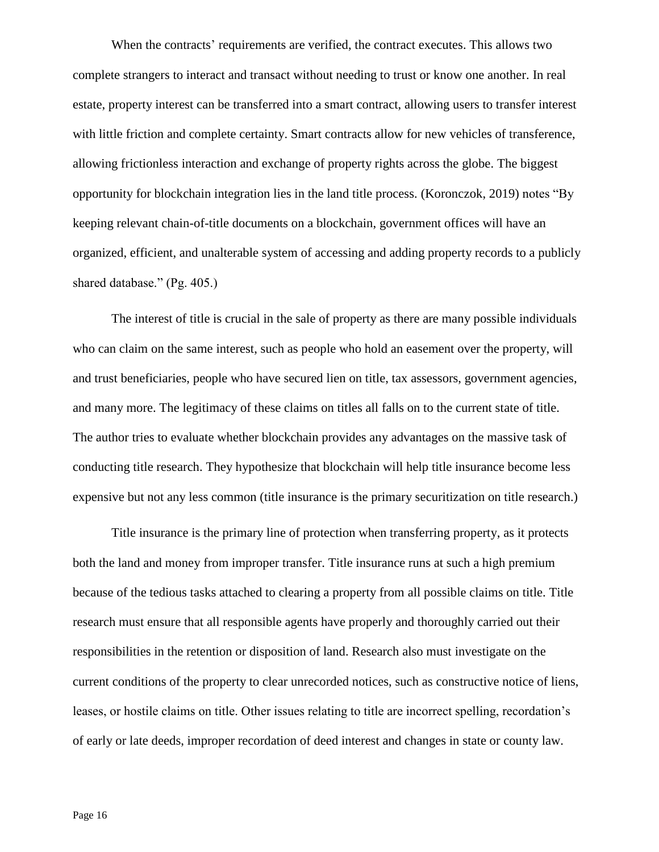When the contracts' requirements are verified, the contract executes. This allows two complete strangers to interact and transact without needing to trust or know one another. In real estate, property interest can be transferred into a smart contract, allowing users to transfer interest with little friction and complete certainty. Smart contracts allow for new vehicles of transference, allowing frictionless interaction and exchange of property rights across the globe. The biggest opportunity for blockchain integration lies in the land title process. (Koronczok, 2019) notes "By keeping relevant chain-of-title documents on a blockchain, government offices will have an organized, efficient, and unalterable system of accessing and adding property records to a publicly shared database." (Pg. 405.)

The interest of title is crucial in the sale of property as there are many possible individuals who can claim on the same interest, such as people who hold an easement over the property, will and trust beneficiaries, people who have secured lien on title, tax assessors, government agencies, and many more. The legitimacy of these claims on titles all falls on to the current state of title. The author tries to evaluate whether blockchain provides any advantages on the massive task of conducting title research. They hypothesize that blockchain will help title insurance become less expensive but not any less common (title insurance is the primary securitization on title research.)

Title insurance is the primary line of protection when transferring property, as it protects both the land and money from improper transfer. Title insurance runs at such a high premium because of the tedious tasks attached to clearing a property from all possible claims on title. Title research must ensure that all responsible agents have properly and thoroughly carried out their responsibilities in the retention or disposition of land. Research also must investigate on the current conditions of the property to clear unrecorded notices, such as constructive notice of liens, leases, or hostile claims on title. Other issues relating to title are incorrect spelling, recordation's of early or late deeds, improper recordation of deed interest and changes in state or county law.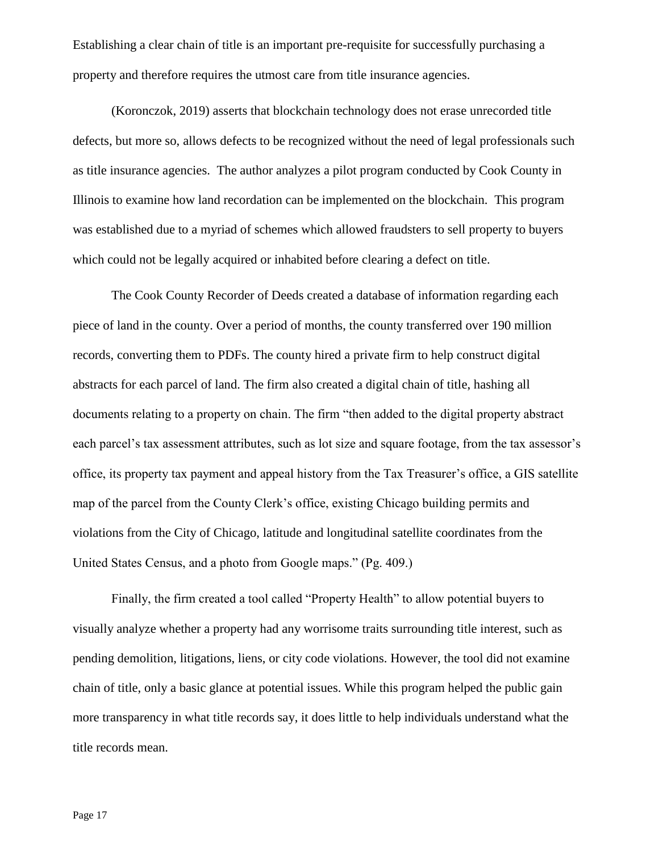Establishing a clear chain of title is an important pre-requisite for successfully purchasing a property and therefore requires the utmost care from title insurance agencies.

(Koronczok, 2019) asserts that blockchain technology does not erase unrecorded title defects, but more so, allows defects to be recognized without the need of legal professionals such as title insurance agencies. The author analyzes a pilot program conducted by Cook County in Illinois to examine how land recordation can be implemented on the blockchain. This program was established due to a myriad of schemes which allowed fraudsters to sell property to buyers which could not be legally acquired or inhabited before clearing a defect on title.

The Cook County Recorder of Deeds created a database of information regarding each piece of land in the county. Over a period of months, the county transferred over 190 million records, converting them to PDFs. The county hired a private firm to help construct digital abstracts for each parcel of land. The firm also created a digital chain of title, hashing all documents relating to a property on chain. The firm "then added to the digital property abstract each parcel's tax assessment attributes, such as lot size and square footage, from the tax assessor's office, its property tax payment and appeal history from the Tax Treasurer's office, a GIS satellite map of the parcel from the County Clerk's office, existing Chicago building permits and violations from the City of Chicago, latitude and longitudinal satellite coordinates from the United States Census, and a photo from Google maps." (Pg. 409.)

Finally, the firm created a tool called "Property Health" to allow potential buyers to visually analyze whether a property had any worrisome traits surrounding title interest, such as pending demolition, litigations, liens, or city code violations. However, the tool did not examine chain of title, only a basic glance at potential issues. While this program helped the public gain more transparency in what title records say, it does little to help individuals understand what the title records mean.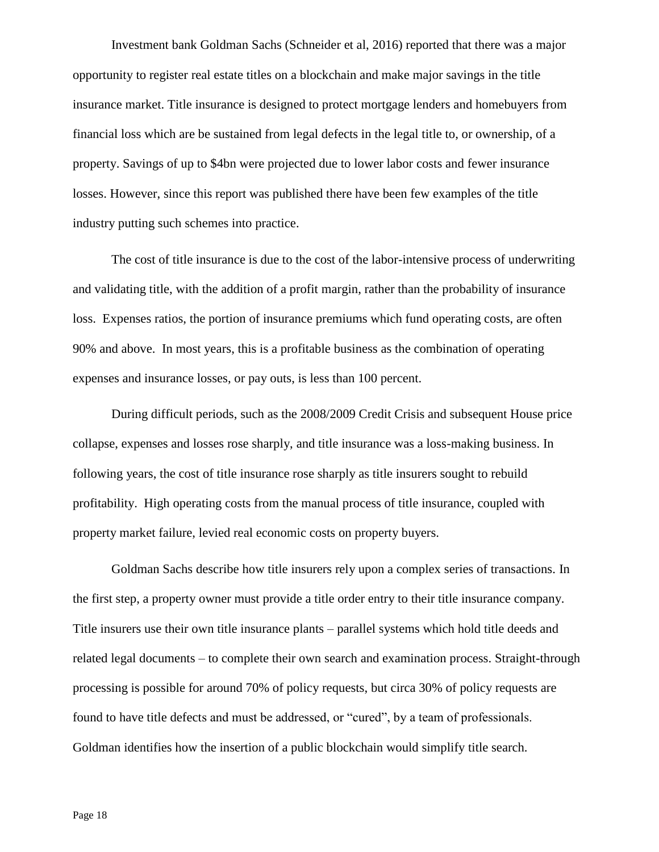Investment bank Goldman Sachs (Schneider et al, 2016) reported that there was a major opportunity to register real estate titles on a blockchain and make major savings in the title insurance market. Title insurance is designed to protect mortgage lenders and homebuyers from financial loss which are be sustained from legal defects in the legal title to, or ownership, of a property. Savings of up to \$4bn were projected due to lower labor costs and fewer insurance losses. However, since this report was published there have been few examples of the title industry putting such schemes into practice.

The cost of title insurance is due to the cost of the labor-intensive process of underwriting and validating title, with the addition of a profit margin, rather than the probability of insurance loss. Expenses ratios, the portion of insurance premiums which fund operating costs, are often 90% and above. In most years, this is a profitable business as the combination of operating expenses and insurance losses, or pay outs, is less than 100 percent.

During difficult periods, such as the 2008/2009 Credit Crisis and subsequent House price collapse, expenses and losses rose sharply, and title insurance was a loss-making business. In following years, the cost of title insurance rose sharply as title insurers sought to rebuild profitability. High operating costs from the manual process of title insurance, coupled with property market failure, levied real economic costs on property buyers.

Goldman Sachs describe how title insurers rely upon a complex series of transactions. In the first step, a property owner must provide a title order entry to their title insurance company. Title insurers use their own title insurance plants – parallel systems which hold title deeds and related legal documents – to complete their own search and examination process. Straight-through processing is possible for around 70% of policy requests, but circa 30% of policy requests are found to have title defects and must be addressed, or "cured", by a team of professionals. Goldman identifies how the insertion of a public blockchain would simplify title search.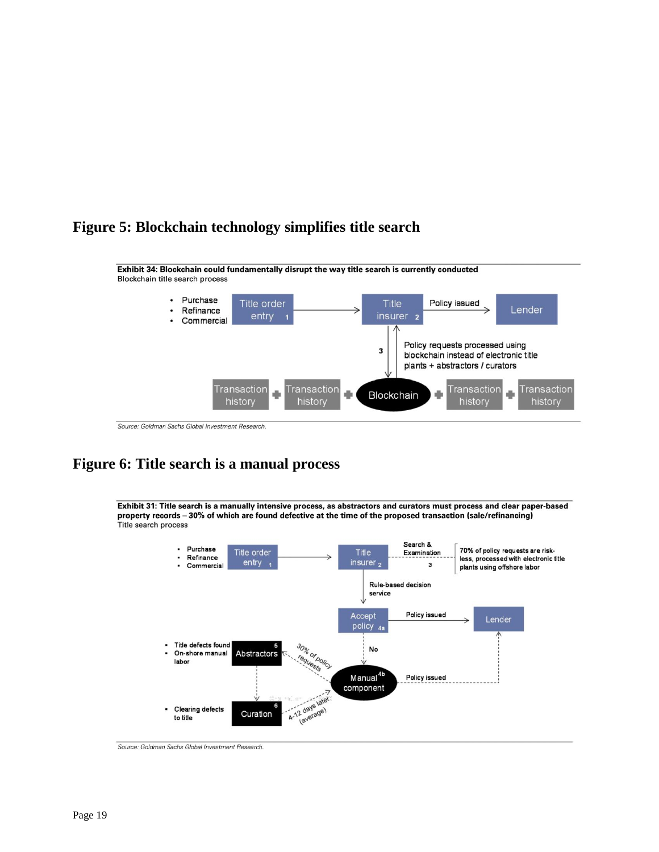### **Figure 5: Blockchain technology simplifies title search**



Source: Goldman Sachs Global Investment Research.

## **Figure 6: Title search is a manual process**

Exhibit 31: Title search is a manually intensive process, as abstractors and curators must process and clear paper-based property records - 30% of which are found defective at the time of the proposed transaction (sale/refinancing) Title search process



Source: Goldman Sachs Global Investment Research.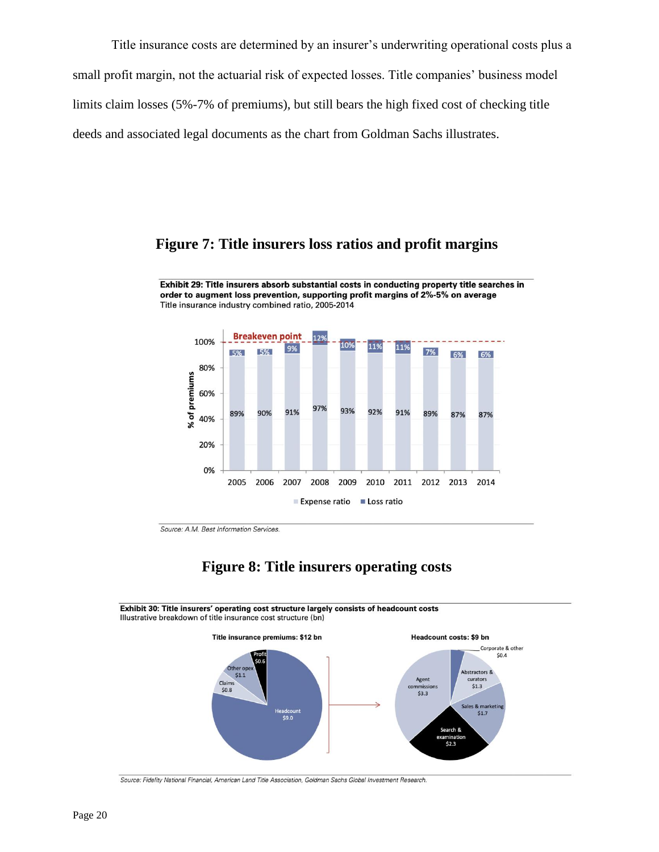Title insurance costs are determined by an insurer's underwriting operational costs plus a small profit margin, not the actuarial risk of expected losses. Title companies' business model limits claim losses (5%-7% of premiums), but still bears the high fixed cost of checking title deeds and associated legal documents as the chart from Goldman Sachs illustrates.

#### **Figure 7: Title insurers loss ratios and profit margins**

Exhibit 29: Title insurers absorb substantial costs in conducting property title searches in order to augment loss prevention, supporting profit margins of 2%-5% on average Title insurance industry combined ratio, 2005-2014



Source: A.M. Best Information Services.

#### **Figure 8: Title insurers operating costs**

Exhibit 30: Title insurers' operating cost structure largely consists of headcount costs Illustrative breakdown of title insurance cost structure (bn)



Source: Fidelity National Financial, American Land Title Association, Goldman Sachs Global Investment Research.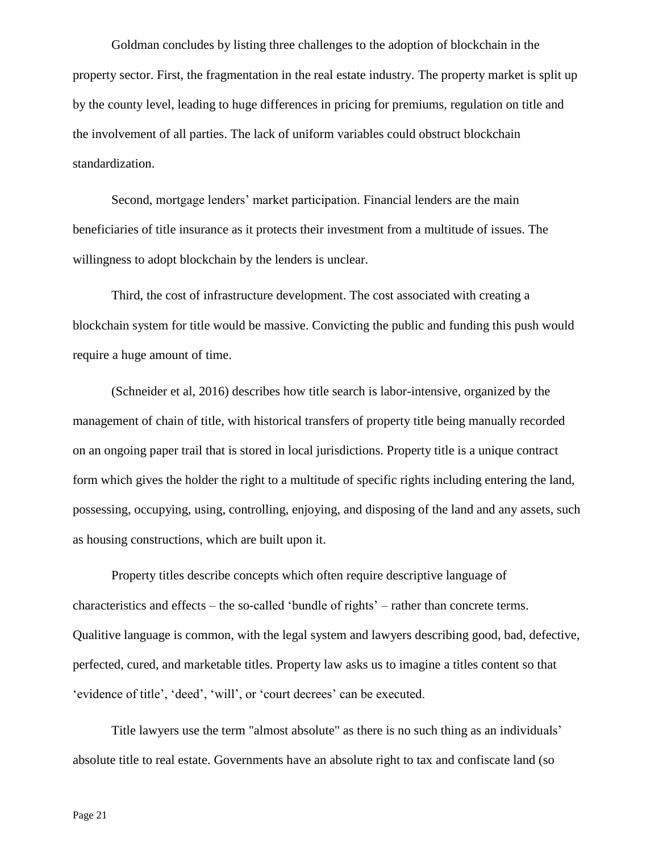Goldman concludes by listing three challenges to the adoption of blockchain in the property sector. First, the fragmentation in the real estate industry. The property market is split up by the county level, leading to huge differences in pricing for premiums, regulation on title and the involvement of all parties. The lack of uniform variables could obstruct blockchain standardization.

Second, mortgage lenders' market participation. Financial lenders are the main beneficiaries of title insurance as it protects their investment from a multitude of issues. The willingness to adopt blockchain by the lenders is unclear.

Third, the cost of infrastructure development. The cost associated with creating a blockchain system for title would be massive. Convicting the public and funding this push would require a huge amount of time.

(Schneider et al, 2016) describes how title search is labor-intensive, organized by the management of chain of title, with historical transfers of property title being manually recorded on an ongoing paper trail that is stored in local jurisdictions. Property title is a unique contract form which gives the holder the right to a multitude of specific rights including entering the land, possessing, occupying, using, controlling, enjoying, and disposing of the land and any assets, such as housing constructions, which are built upon it.

Property titles describe concepts which often require descriptive language of characteristics and effects – the so-called 'bundle of rights' – rather than concrete terms. Qualitive language is common, with the legal system and lawyers describing good, bad, defective, perfected, cured, and marketable titles. Property law asks us to imagine a titles content so that 'evidence of title', 'deed', 'will', or 'court decrees' can be executed.

Title lawyers use the term "almost absolute" as there is no such thing as an individuals' absolute title to real estate. Governments have an absolute right to tax and confiscate land (so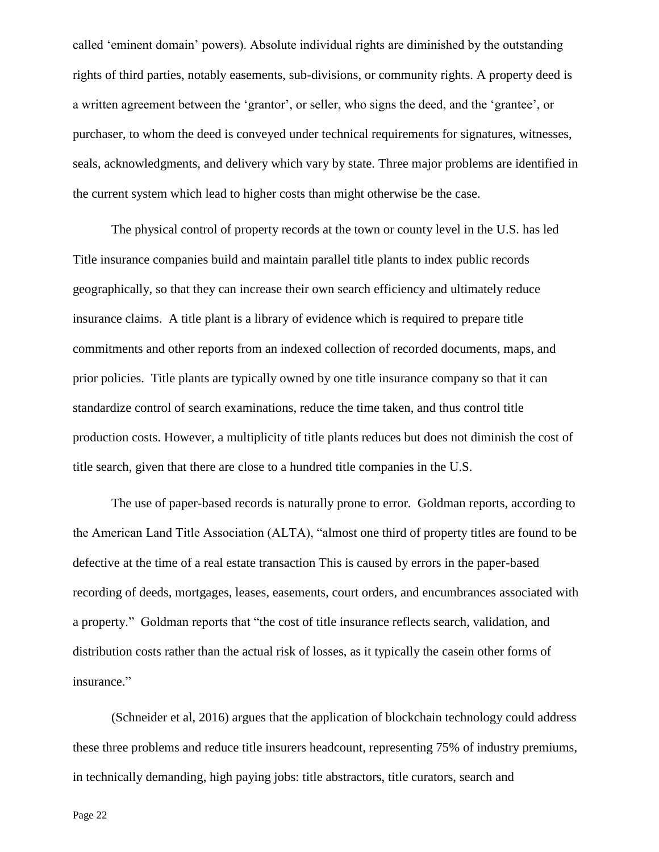called 'eminent domain' powers). Absolute individual rights are diminished by the outstanding rights of third parties, notably easements, sub-divisions, or community rights. A property deed is a written agreement between the 'grantor', or seller, who signs the deed, and the 'grantee', or purchaser, to whom the deed is conveyed under technical requirements for signatures, witnesses, seals, acknowledgments, and delivery which vary by state. Three major problems are identified in the current system which lead to higher costs than might otherwise be the case.

The physical control of property records at the town or county level in the U.S. has led Title insurance companies build and maintain parallel title plants to index public records geographically, so that they can increase their own search efficiency and ultimately reduce insurance claims. A title plant is a library of evidence which is required to prepare title commitments and other reports from an indexed collection of recorded documents, maps, and prior policies. Title plants are typically owned by one title insurance company so that it can standardize control of search examinations, reduce the time taken, and thus control title production costs. However, a multiplicity of title plants reduces but does not diminish the cost of title search, given that there are close to a hundred title companies in the U.S.

The use of paper-based records is naturally prone to error. Goldman reports, according to the American Land Title Association (ALTA), "almost one third of property titles are found to be defective at the time of a real estate transaction This is caused by errors in the paper-based recording of deeds, mortgages, leases, easements, court orders, and encumbrances associated with a property." Goldman reports that "the cost of title insurance reflects search, validation, and distribution costs rather than the actual risk of losses, as it typically the casein other forms of insurance."

(Schneider et al, 2016) argues that the application of blockchain technology could address these three problems and reduce title insurers headcount, representing 75% of industry premiums, in technically demanding, high paying jobs: title abstractors, title curators, search and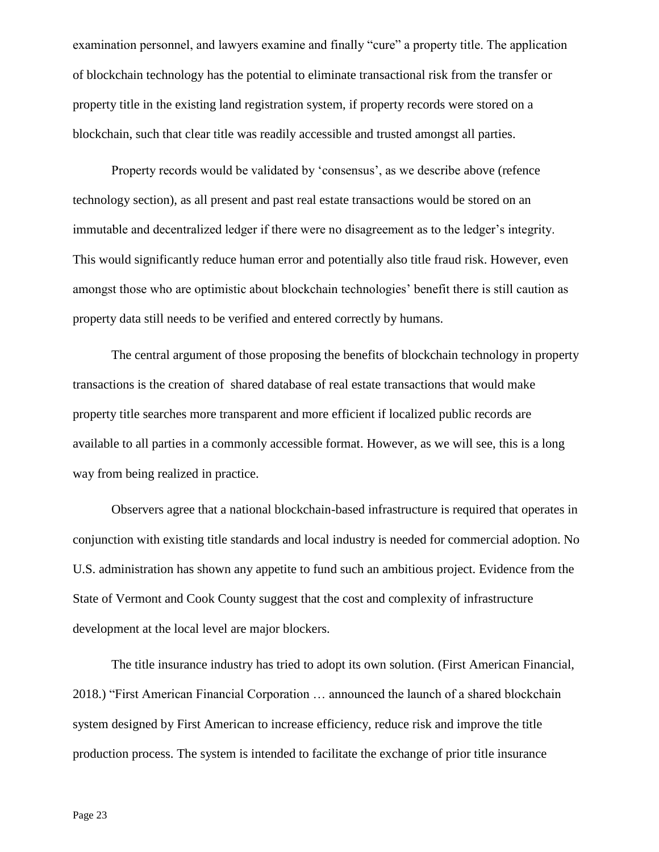examination personnel, and lawyers examine and finally "cure" a property title. The application of blockchain technology has the potential to eliminate transactional risk from the transfer or property title in the existing land registration system, if property records were stored on a blockchain, such that clear title was readily accessible and trusted amongst all parties.

Property records would be validated by 'consensus', as we describe above (refence technology section), as all present and past real estate transactions would be stored on an immutable and decentralized ledger if there were no disagreement as to the ledger's integrity. This would significantly reduce human error and potentially also title fraud risk. However, even amongst those who are optimistic about blockchain technologies' benefit there is still caution as property data still needs to be verified and entered correctly by humans.

The central argument of those proposing the benefits of blockchain technology in property transactions is the creation of shared database of real estate transactions that would make property title searches more transparent and more efficient if localized public records are available to all parties in a commonly accessible format. However, as we will see, this is a long way from being realized in practice.

Observers agree that a national blockchain-based infrastructure is required that operates in conjunction with existing title standards and local industry is needed for commercial adoption. No U.S. administration has shown any appetite to fund such an ambitious project. Evidence from the State of Vermont and Cook County suggest that the cost and complexity of infrastructure development at the local level are major blockers.

The title insurance industry has tried to adopt its own solution. (First American Financial, 2018.) "First American Financial Corporation … announced the launch of a shared blockchain system designed by First American to increase efficiency, reduce risk and improve the title production process. The system is intended to facilitate the exchange of prior title insurance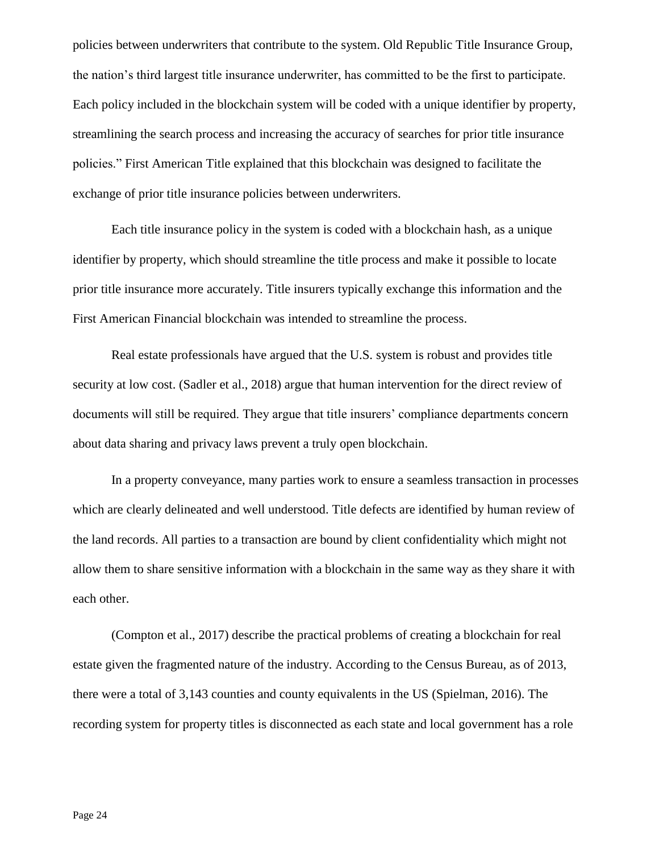policies between underwriters that contribute to the system. Old Republic Title Insurance Group, the nation's third largest title insurance underwriter, has committed to be the first to participate. Each policy included in the blockchain system will be coded with a unique identifier by property, streamlining the search process and increasing the accuracy of searches for prior title insurance policies." First American Title explained that this blockchain was designed to facilitate the exchange of prior title insurance policies between underwriters.

Each title insurance policy in the system is coded with a blockchain hash, as a unique identifier by property, which should streamline the title process and make it possible to locate prior title insurance more accurately. Title insurers typically exchange this information and the First American Financial blockchain was intended to streamline the process.

Real estate professionals have argued that the U.S. system is robust and provides title security at low cost. (Sadler et al., 2018) argue that human intervention for the direct review of documents will still be required. They argue that title insurers' compliance departments concern about data sharing and privacy laws prevent a truly open blockchain.

In a property conveyance, many parties work to ensure a seamless transaction in processes which are clearly delineated and well understood. Title defects are identified by human review of the land records. All parties to a transaction are bound by client confidentiality which might not allow them to share sensitive information with a blockchain in the same way as they share it with each other.

(Compton et al., 2017) describe the practical problems of creating a blockchain for real estate given the fragmented nature of the industry. According to the Census Bureau, as of 2013, there were a total of 3,143 counties and county equivalents in the US (Spielman, 2016). The recording system for property titles is disconnected as each state and local government has a role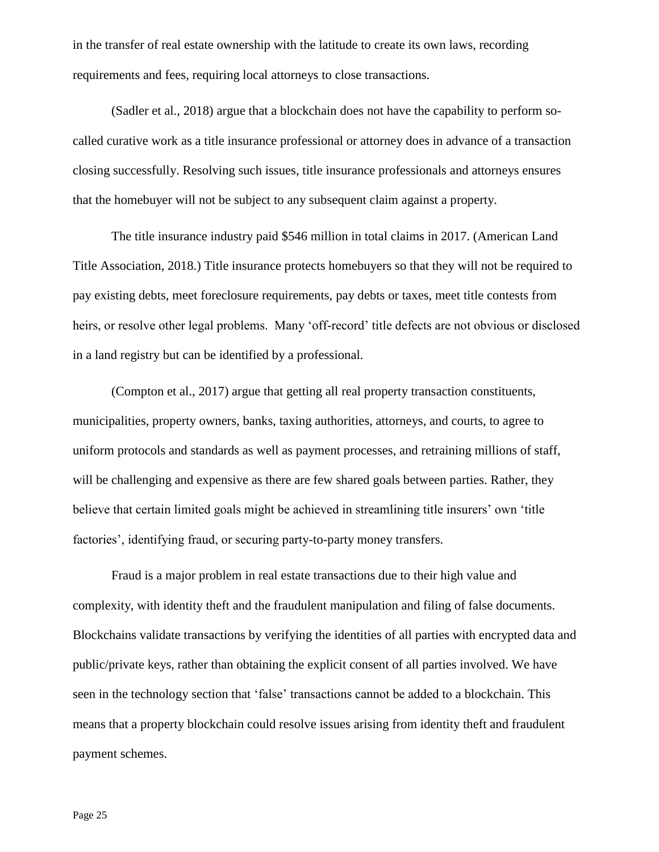in the transfer of real estate ownership with the latitude to create its own laws, recording requirements and fees, requiring local attorneys to close transactions.

(Sadler et al., 2018) argue that a blockchain does not have the capability to perform socalled curative work as a title insurance professional or attorney does in advance of a transaction closing successfully. Resolving such issues, title insurance professionals and attorneys ensures that the homebuyer will not be subject to any subsequent claim against a property.

The title insurance industry paid \$546 million in total claims in 2017. (American Land Title Association, 2018.) Title insurance protects homebuyers so that they will not be required to pay existing debts, meet foreclosure requirements, pay debts or taxes, meet title contests from heirs, or resolve other legal problems. Many 'off-record' title defects are not obvious or disclosed in a land registry but can be identified by a professional.

(Compton et al., 2017) argue that getting all real property transaction constituents, municipalities, property owners, banks, taxing authorities, attorneys, and courts, to agree to uniform protocols and standards as well as payment processes, and retraining millions of staff, will be challenging and expensive as there are few shared goals between parties. Rather, they believe that certain limited goals might be achieved in streamlining title insurers' own 'title factories', identifying fraud, or securing party-to-party money transfers.

Fraud is a major problem in real estate transactions due to their high value and complexity, with identity theft and the fraudulent manipulation and filing of false documents. Blockchains validate transactions by verifying the identities of all parties with encrypted data and public/private keys, rather than obtaining the explicit consent of all parties involved. We have seen in the technology section that 'false' transactions cannot be added to a blockchain. This means that a property blockchain could resolve issues arising from identity theft and fraudulent payment schemes.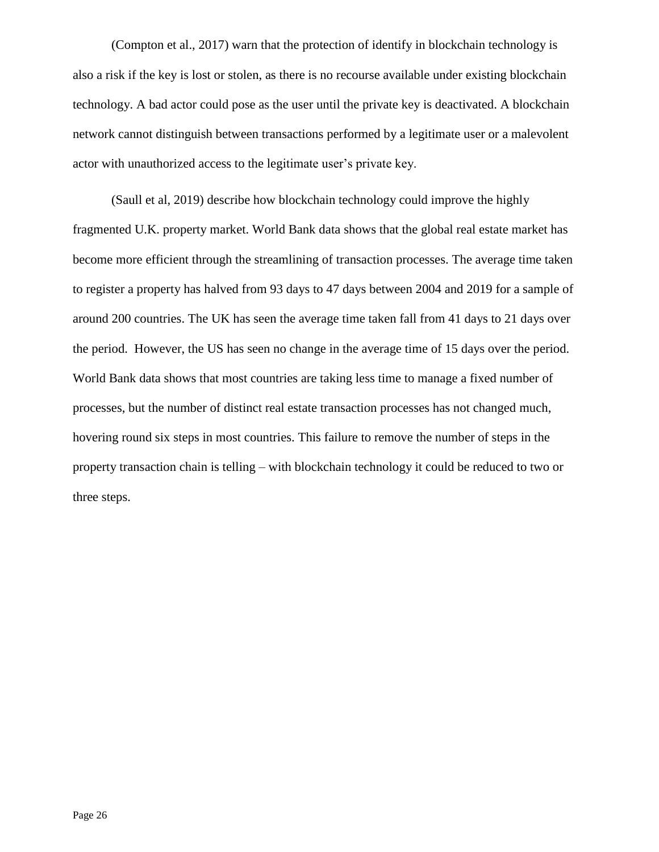(Compton et al., 2017) warn that the protection of identify in blockchain technology is also a risk if the key is lost or stolen, as there is no recourse available under existing blockchain technology. A bad actor could pose as the user until the private key is deactivated. A blockchain network cannot distinguish between transactions performed by a legitimate user or a malevolent actor with unauthorized access to the legitimate user's private key.

(Saull et al, 2019) describe how blockchain technology could improve the highly fragmented U.K. property market. World Bank data shows that the global real estate market has become more efficient through the streamlining of transaction processes. The average time taken to register a property has halved from 93 days to 47 days between 2004 and 2019 for a sample of around 200 countries. The UK has seen the average time taken fall from 41 days to 21 days over the period. However, the US has seen no change in the average time of 15 days over the period. World Bank data shows that most countries are taking less time to manage a fixed number of processes, but the number of distinct real estate transaction processes has not changed much, hovering round six steps in most countries. This failure to remove the number of steps in the property transaction chain is telling – with blockchain technology it could be reduced to two or three steps.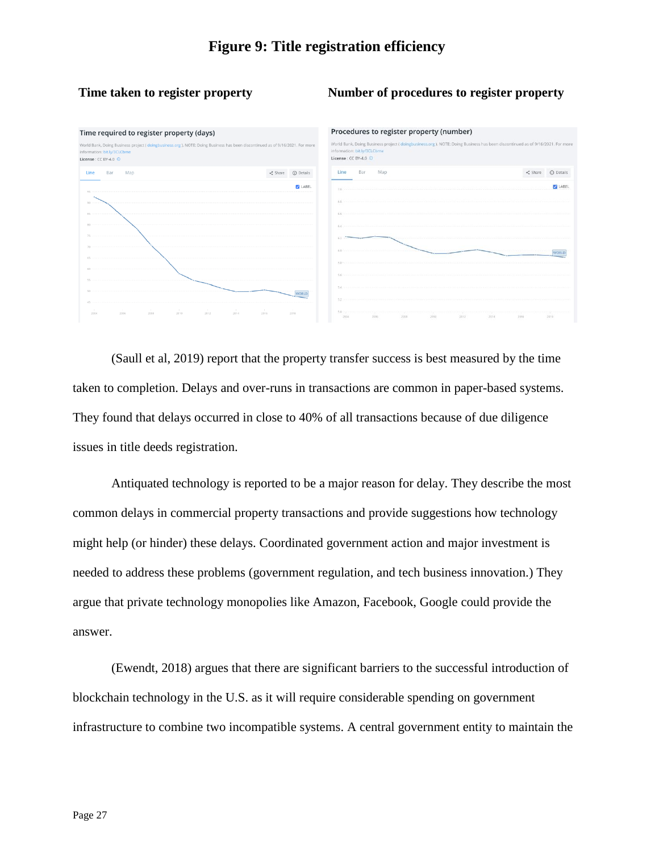#### **Time taken to register property Number of procedures to register property**



(Saull et al, 2019) report that the property transfer success is best measured by the time taken to completion. Delays and over-runs in transactions are common in paper-based systems. They found that delays occurred in close to 40% of all transactions because of due diligence issues in title deeds registration.

Antiquated technology is reported to be a major reason for delay. They describe the most common delays in commercial property transactions and provide suggestions how technology might help (or hinder) these delays. Coordinated government action and major investment is needed to address these problems (government regulation, and tech business innovation.) They argue that private technology monopolies like Amazon, Facebook, Google could provide the answer.

(Ewendt, 2018) argues that there are significant barriers to the successful introduction of blockchain technology in the U.S. as it will require considerable spending on government infrastructure to combine two incompatible systems. A central government entity to maintain the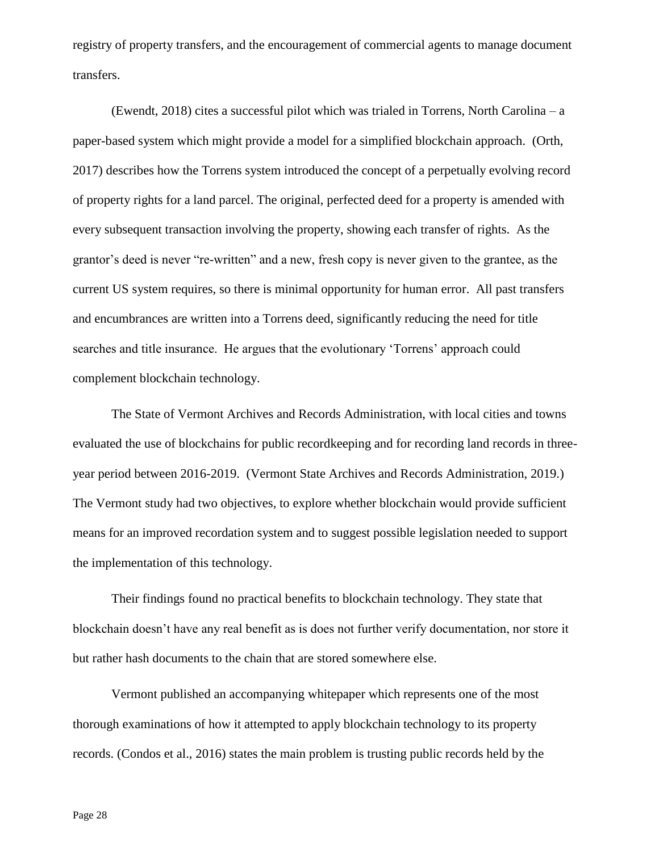registry of property transfers, and the encouragement of commercial agents to manage document transfers.

(Ewendt, 2018) cites a successful pilot which was trialed in Torrens, North Carolina – a paper-based system which might provide a model for a simplified blockchain approach. (Orth, 2017) describes how the Torrens system introduced the concept of a perpetually evolving record of property rights for a land parcel. The original, perfected deed for a property is amended with every subsequent transaction involving the property, showing each transfer of rights. As the grantor's deed is never "re-written" and a new, fresh copy is never given to the grantee, as the current US system requires, so there is minimal opportunity for human error. All past transfers and encumbrances are written into a Torrens deed, significantly reducing the need for title searches and title insurance. He argues that the evolutionary 'Torrens' approach could complement blockchain technology.

The State of Vermont Archives and Records Administration, with local cities and towns evaluated the use of blockchains for public recordkeeping and for recording land records in threeyear period between 2016-2019. (Vermont State Archives and Records Administration, 2019.) The Vermont study had two objectives, to explore whether blockchain would provide sufficient means for an improved recordation system and to suggest possible legislation needed to support the implementation of this technology.

Their findings found no practical benefits to blockchain technology. They state that blockchain doesn't have any real benefit as is does not further verify documentation, nor store it but rather hash documents to the chain that are stored somewhere else.

Vermont published an accompanying whitepaper which represents one of the most thorough examinations of how it attempted to apply blockchain technology to its property records. (Condos et al., 2016) states the main problem is trusting public records held by the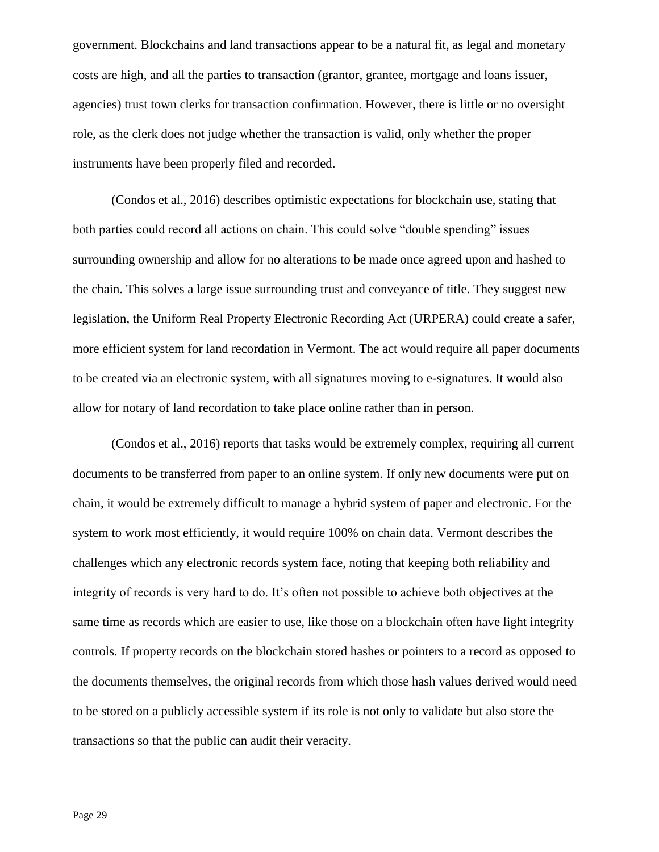government. Blockchains and land transactions appear to be a natural fit, as legal and monetary costs are high, and all the parties to transaction (grantor, grantee, mortgage and loans issuer, agencies) trust town clerks for transaction confirmation. However, there is little or no oversight role, as the clerk does not judge whether the transaction is valid, only whether the proper instruments have been properly filed and recorded.

(Condos et al., 2016) describes optimistic expectations for blockchain use, stating that both parties could record all actions on chain. This could solve "double spending" issues surrounding ownership and allow for no alterations to be made once agreed upon and hashed to the chain. This solves a large issue surrounding trust and conveyance of title. They suggest new legislation, the Uniform Real Property Electronic Recording Act (URPERA) could create a safer, more efficient system for land recordation in Vermont. The act would require all paper documents to be created via an electronic system, with all signatures moving to e-signatures. It would also allow for notary of land recordation to take place online rather than in person.

(Condos et al., 2016) reports that tasks would be extremely complex, requiring all current documents to be transferred from paper to an online system. If only new documents were put on chain, it would be extremely difficult to manage a hybrid system of paper and electronic. For the system to work most efficiently, it would require 100% on chain data. Vermont describes the challenges which any electronic records system face, noting that keeping both reliability and integrity of records is very hard to do. It's often not possible to achieve both objectives at the same time as records which are easier to use, like those on a blockchain often have light integrity controls. If property records on the blockchain stored hashes or pointers to a record as opposed to the documents themselves, the original records from which those hash values derived would need to be stored on a publicly accessible system if its role is not only to validate but also store the transactions so that the public can audit their veracity.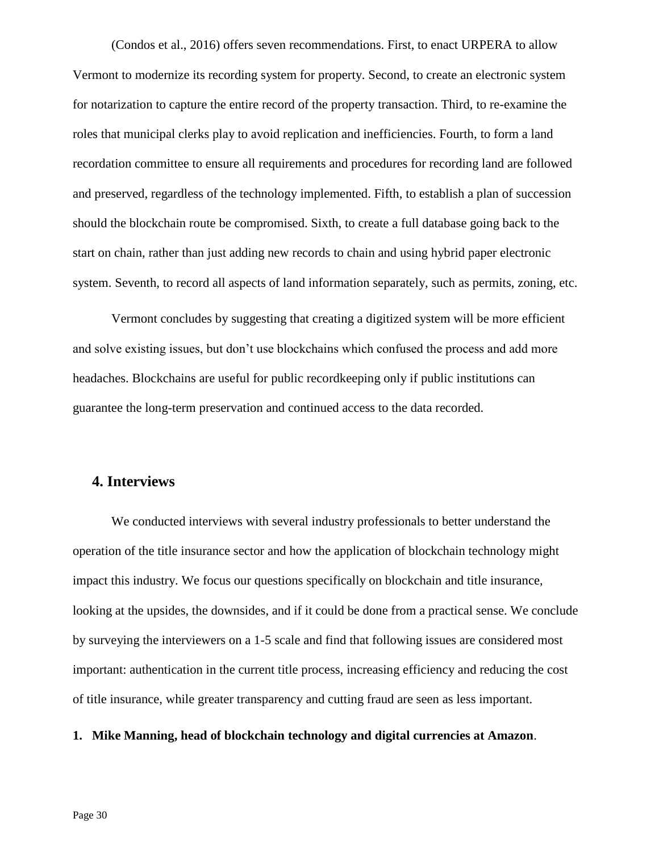(Condos et al., 2016) offers seven recommendations. First, to enact URPERA to allow Vermont to modernize its recording system for property. Second, to create an electronic system for notarization to capture the entire record of the property transaction. Third, to re-examine the roles that municipal clerks play to avoid replication and inefficiencies. Fourth, to form a land recordation committee to ensure all requirements and procedures for recording land are followed and preserved, regardless of the technology implemented. Fifth, to establish a plan of succession should the blockchain route be compromised. Sixth, to create a full database going back to the start on chain, rather than just adding new records to chain and using hybrid paper electronic system. Seventh, to record all aspects of land information separately, such as permits, zoning, etc.

Vermont concludes by suggesting that creating a digitized system will be more efficient and solve existing issues, but don't use blockchains which confused the process and add more headaches. Blockchains are useful for public recordkeeping only if public institutions can guarantee the long-term preservation and continued access to the data recorded.

#### **4. Interviews**

We conducted interviews with several industry professionals to better understand the operation of the title insurance sector and how the application of blockchain technology might impact this industry. We focus our questions specifically on blockchain and title insurance, looking at the upsides, the downsides, and if it could be done from a practical sense. We conclude by surveying the interviewers on a 1-5 scale and find that following issues are considered most important: authentication in the current title process, increasing efficiency and reducing the cost of title insurance, while greater transparency and cutting fraud are seen as less important.

#### **1. Mike Manning, head of blockchain technology and digital currencies at Amazon**.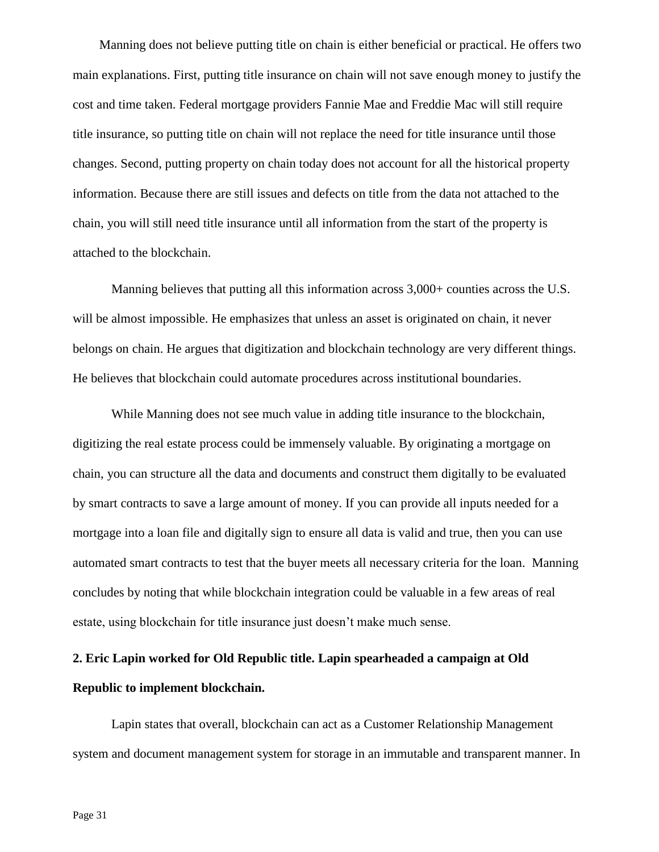Manning does not believe putting title on chain is either beneficial or practical. He offers two main explanations. First, putting title insurance on chain will not save enough money to justify the cost and time taken. Federal mortgage providers Fannie Mae and Freddie Mac will still require title insurance, so putting title on chain will not replace the need for title insurance until those changes. Second, putting property on chain today does not account for all the historical property information. Because there are still issues and defects on title from the data not attached to the chain, you will still need title insurance until all information from the start of the property is attached to the blockchain.

Manning believes that putting all this information across 3,000+ counties across the U.S. will be almost impossible. He emphasizes that unless an asset is originated on chain, it never belongs on chain. He argues that digitization and blockchain technology are very different things. He believes that blockchain could automate procedures across institutional boundaries.

While Manning does not see much value in adding title insurance to the blockchain, digitizing the real estate process could be immensely valuable. By originating a mortgage on chain, you can structure all the data and documents and construct them digitally to be evaluated by smart contracts to save a large amount of money. If you can provide all inputs needed for a mortgage into a loan file and digitally sign to ensure all data is valid and true, then you can use automated smart contracts to test that the buyer meets all necessary criteria for the loan. Manning concludes by noting that while blockchain integration could be valuable in a few areas of real estate, using blockchain for title insurance just doesn't make much sense.

# **2. Eric Lapin worked for Old Republic title. Lapin spearheaded a campaign at Old Republic to implement blockchain.**

Lapin states that overall, blockchain can act as a Customer Relationship Management system and document management system for storage in an immutable and transparent manner. In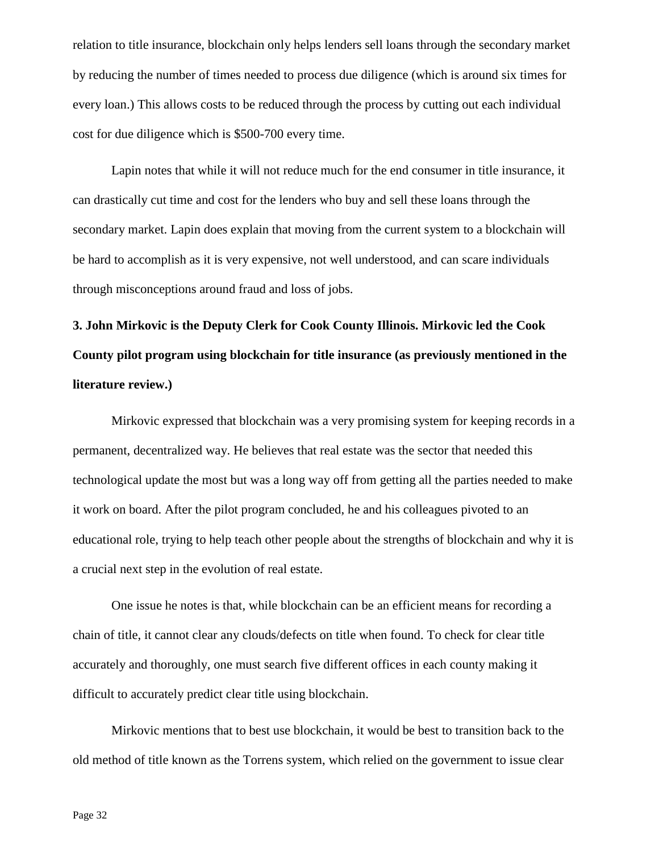relation to title insurance, blockchain only helps lenders sell loans through the secondary market by reducing the number of times needed to process due diligence (which is around six times for every loan.) This allows costs to be reduced through the process by cutting out each individual cost for due diligence which is \$500-700 every time.

Lapin notes that while it will not reduce much for the end consumer in title insurance, it can drastically cut time and cost for the lenders who buy and sell these loans through the secondary market. Lapin does explain that moving from the current system to a blockchain will be hard to accomplish as it is very expensive, not well understood, and can scare individuals through misconceptions around fraud and loss of jobs.

**3. John Mirkovic is the Deputy Clerk for Cook County Illinois. Mirkovic led the Cook County pilot program using blockchain for title insurance (as previously mentioned in the literature review.)**

Mirkovic expressed that blockchain was a very promising system for keeping records in a permanent, decentralized way. He believes that real estate was the sector that needed this technological update the most but was a long way off from getting all the parties needed to make it work on board. After the pilot program concluded, he and his colleagues pivoted to an educational role, trying to help teach other people about the strengths of blockchain and why it is a crucial next step in the evolution of real estate.

One issue he notes is that, while blockchain can be an efficient means for recording a chain of title, it cannot clear any clouds/defects on title when found. To check for clear title accurately and thoroughly, one must search five different offices in each county making it difficult to accurately predict clear title using blockchain.

Mirkovic mentions that to best use blockchain, it would be best to transition back to the old method of title known as the Torrens system, which relied on the government to issue clear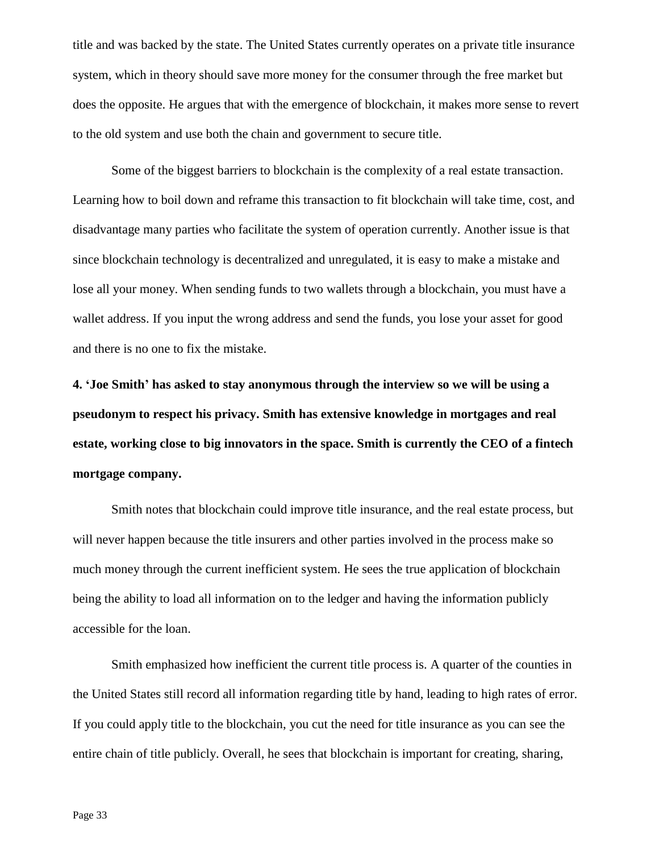title and was backed by the state. The United States currently operates on a private title insurance system, which in theory should save more money for the consumer through the free market but does the opposite. He argues that with the emergence of blockchain, it makes more sense to revert to the old system and use both the chain and government to secure title.

Some of the biggest barriers to blockchain is the complexity of a real estate transaction. Learning how to boil down and reframe this transaction to fit blockchain will take time, cost, and disadvantage many parties who facilitate the system of operation currently. Another issue is that since blockchain technology is decentralized and unregulated, it is easy to make a mistake and lose all your money. When sending funds to two wallets through a blockchain, you must have a wallet address. If you input the wrong address and send the funds, you lose your asset for good and there is no one to fix the mistake.

**4. 'Joe Smith' has asked to stay anonymous through the interview so we will be using a pseudonym to respect his privacy. Smith has extensive knowledge in mortgages and real estate, working close to big innovators in the space. Smith is currently the CEO of a fintech mortgage company.**

Smith notes that blockchain could improve title insurance, and the real estate process, but will never happen because the title insurers and other parties involved in the process make so much money through the current inefficient system. He sees the true application of blockchain being the ability to load all information on to the ledger and having the information publicly accessible for the loan.

Smith emphasized how inefficient the current title process is. A quarter of the counties in the United States still record all information regarding title by hand, leading to high rates of error. If you could apply title to the blockchain, you cut the need for title insurance as you can see the entire chain of title publicly. Overall, he sees that blockchain is important for creating, sharing,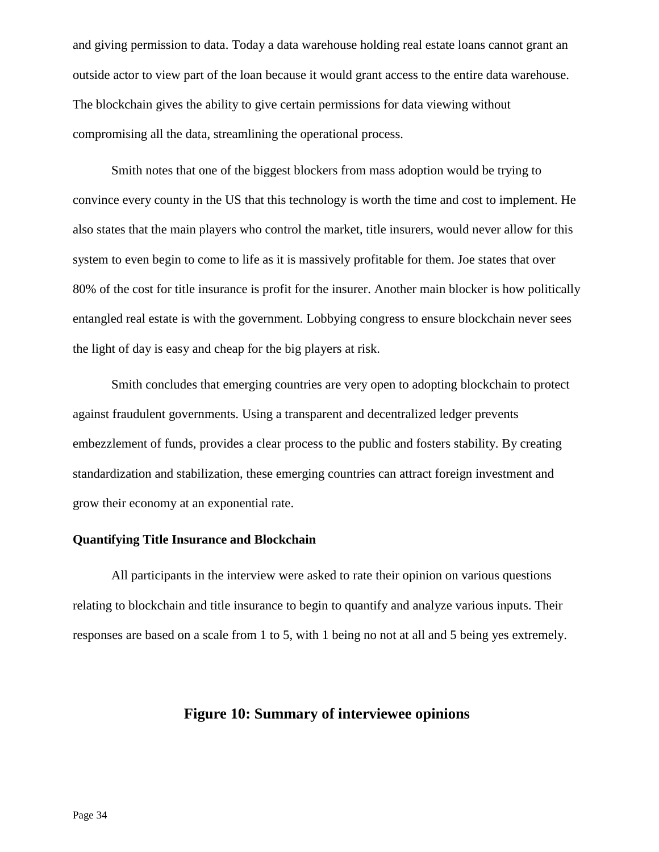and giving permission to data. Today a data warehouse holding real estate loans cannot grant an outside actor to view part of the loan because it would grant access to the entire data warehouse. The blockchain gives the ability to give certain permissions for data viewing without compromising all the data, streamlining the operational process.

Smith notes that one of the biggest blockers from mass adoption would be trying to convince every county in the US that this technology is worth the time and cost to implement. He also states that the main players who control the market, title insurers, would never allow for this system to even begin to come to life as it is massively profitable for them. Joe states that over 80% of the cost for title insurance is profit for the insurer. Another main blocker is how politically entangled real estate is with the government. Lobbying congress to ensure blockchain never sees the light of day is easy and cheap for the big players at risk.

Smith concludes that emerging countries are very open to adopting blockchain to protect against fraudulent governments. Using a transparent and decentralized ledger prevents embezzlement of funds, provides a clear process to the public and fosters stability. By creating standardization and stabilization, these emerging countries can attract foreign investment and grow their economy at an exponential rate.

#### **Quantifying Title Insurance and Blockchain**

All participants in the interview were asked to rate their opinion on various questions relating to blockchain and title insurance to begin to quantify and analyze various inputs. Their responses are based on a scale from 1 to 5, with 1 being no not at all and 5 being yes extremely.

#### **Figure 10: Summary of interviewee opinions**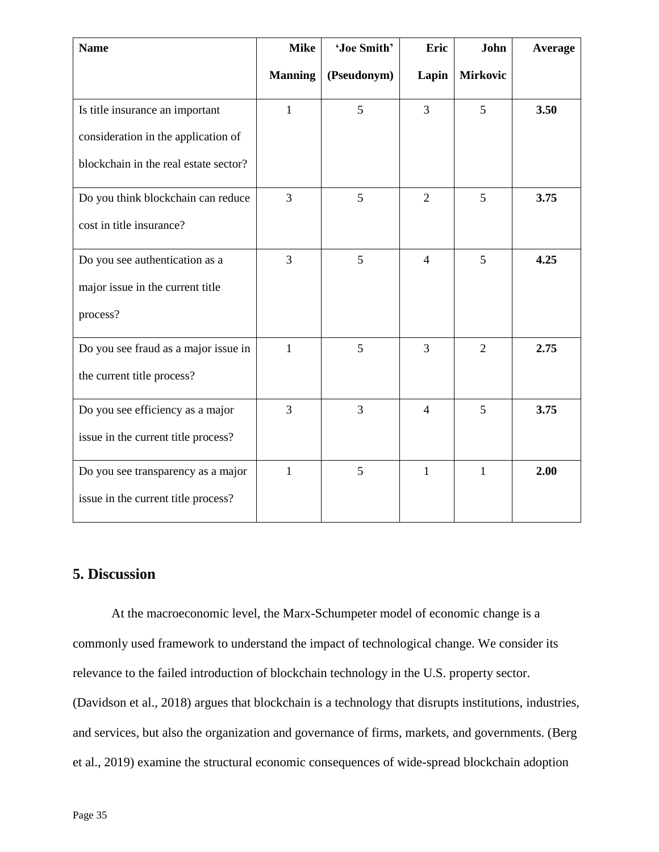| <b>Name</b>                           | <b>Mike</b>    | 'Joe Smith' | Eric           | John            | Average |
|---------------------------------------|----------------|-------------|----------------|-----------------|---------|
|                                       | <b>Manning</b> | (Pseudonym) | Lapin          | <b>Mirkovic</b> |         |
| Is title insurance an important       | $\mathbf{1}$   | 5           | 3              | 5               | 3.50    |
| consideration in the application of   |                |             |                |                 |         |
| blockchain in the real estate sector? |                |             |                |                 |         |
| Do you think blockchain can reduce    | 3              | 5           | $\overline{2}$ | 5               | 3.75    |
| cost in title insurance?              |                |             |                |                 |         |
| Do you see authentication as a        | 3              | 5           | $\overline{4}$ | 5               | 4.25    |
| major issue in the current title      |                |             |                |                 |         |
| process?                              |                |             |                |                 |         |
| Do you see fraud as a major issue in  | $\mathbf{1}$   | 5           | $\overline{3}$ | $\overline{2}$  | 2.75    |
| the current title process?            |                |             |                |                 |         |
| Do you see efficiency as a major      | 3              | 3           | $\overline{4}$ | 5               | 3.75    |
| issue in the current title process?   |                |             |                |                 |         |
| Do you see transparency as a major    | $\mathbf{1}$   | 5           | $\mathbf{1}$   | $\mathbf{1}$    | 2.00    |
| issue in the current title process?   |                |             |                |                 |         |

### **5. Discussion**

At the macroeconomic level, the Marx-Schumpeter model of economic change is a commonly used framework to understand the impact of technological change. We consider its relevance to the failed introduction of blockchain technology in the U.S. property sector. (Davidson et al., 2018) argues that blockchain is a technology that disrupts institutions, industries, and services, but also the organization and governance of firms, markets, and governments. (Berg et al., 2019) examine the structural economic consequences of wide-spread blockchain adoption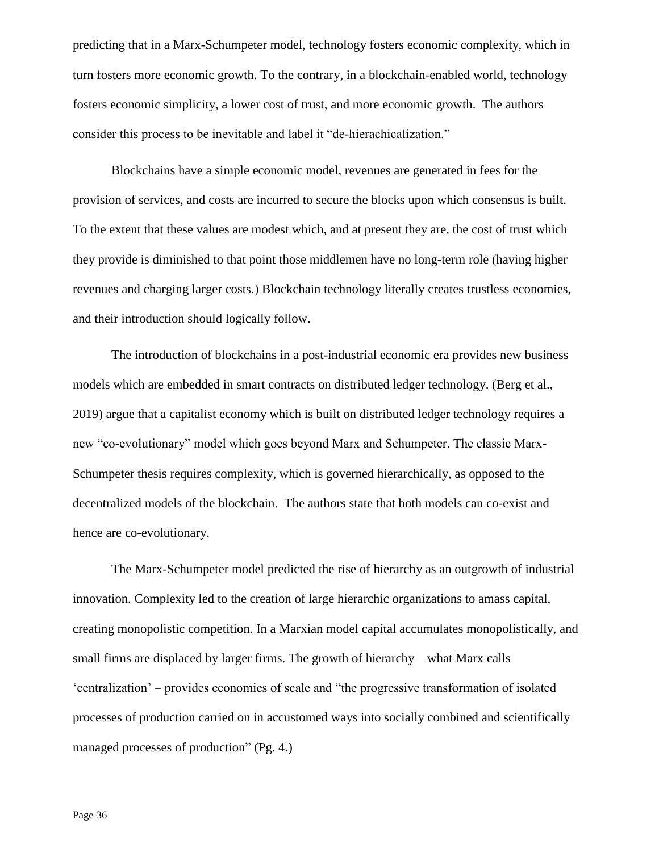predicting that in a Marx-Schumpeter model, technology fosters economic complexity, which in turn fosters more economic growth. To the contrary, in a blockchain-enabled world, technology fosters economic simplicity, a lower cost of trust, and more economic growth. The authors consider this process to be inevitable and label it "de-hierachicalization."

Blockchains have a simple economic model, revenues are generated in fees for the provision of services, and costs are incurred to secure the blocks upon which consensus is built. To the extent that these values are modest which, and at present they are, the cost of trust which they provide is diminished to that point those middlemen have no long-term role (having higher revenues and charging larger costs.) Blockchain technology literally creates trustless economies, and their introduction should logically follow.

The introduction of blockchains in a post-industrial economic era provides new business models which are embedded in smart contracts on distributed ledger technology. (Berg et al., 2019) argue that a capitalist economy which is built on distributed ledger technology requires a new "co-evolutionary" model which goes beyond Marx and Schumpeter. The classic Marx-Schumpeter thesis requires complexity, which is governed hierarchically, as opposed to the decentralized models of the blockchain. The authors state that both models can co-exist and hence are co-evolutionary.

The Marx-Schumpeter model predicted the rise of hierarchy as an outgrowth of industrial innovation. Complexity led to the creation of large hierarchic organizations to amass capital, creating monopolistic competition. In a Marxian model capital accumulates monopolistically, and small firms are displaced by larger firms. The growth of hierarchy – what Marx calls 'centralization' – provides economies of scale and "the progressive transformation of isolated processes of production carried on in accustomed ways into socially combined and scientifically managed processes of production" (Pg. 4.)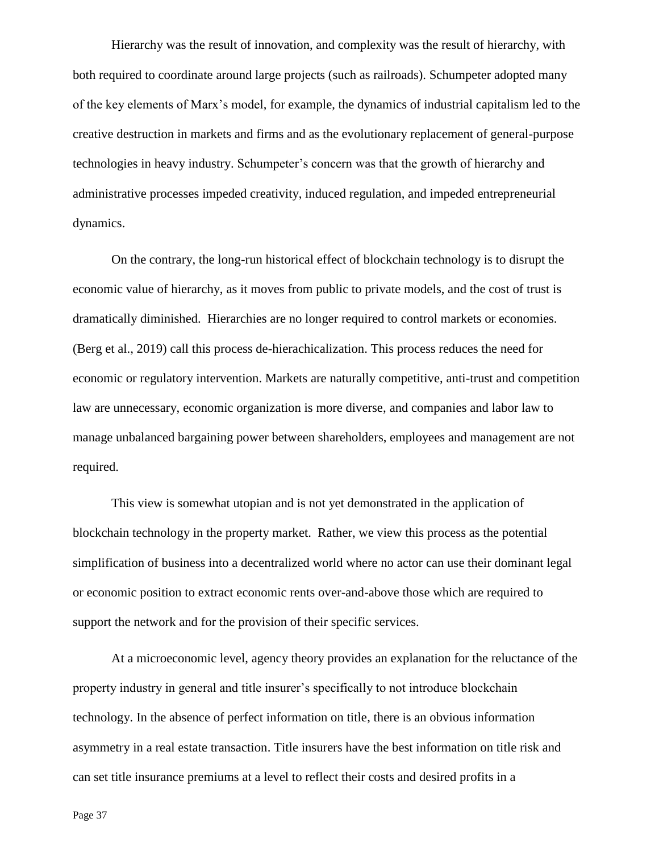Hierarchy was the result of innovation, and complexity was the result of hierarchy, with both required to coordinate around large projects (such as railroads). Schumpeter adopted many of the key elements of Marx's model, for example, the dynamics of industrial capitalism led to the creative destruction in markets and firms and as the evolutionary replacement of general-purpose technologies in heavy industry. Schumpeter's concern was that the growth of hierarchy and administrative processes impeded creativity, induced regulation, and impeded entrepreneurial dynamics.

On the contrary, the long-run historical effect of blockchain technology is to disrupt the economic value of hierarchy, as it moves from public to private models, and the cost of trust is dramatically diminished. Hierarchies are no longer required to control markets or economies. (Berg et al., 2019) call this process de-hierachicalization. This process reduces the need for economic or regulatory intervention. Markets are naturally competitive, anti-trust and competition law are unnecessary, economic organization is more diverse, and companies and labor law to manage unbalanced bargaining power between shareholders, employees and management are not required.

This view is somewhat utopian and is not yet demonstrated in the application of blockchain technology in the property market. Rather, we view this process as the potential simplification of business into a decentralized world where no actor can use their dominant legal or economic position to extract economic rents over-and-above those which are required to support the network and for the provision of their specific services.

At a microeconomic level, agency theory provides an explanation for the reluctance of the property industry in general and title insurer's specifically to not introduce blockchain technology. In the absence of perfect information on title, there is an obvious information asymmetry in a real estate transaction. Title insurers have the best information on title risk and can set title insurance premiums at a level to reflect their costs and desired profits in a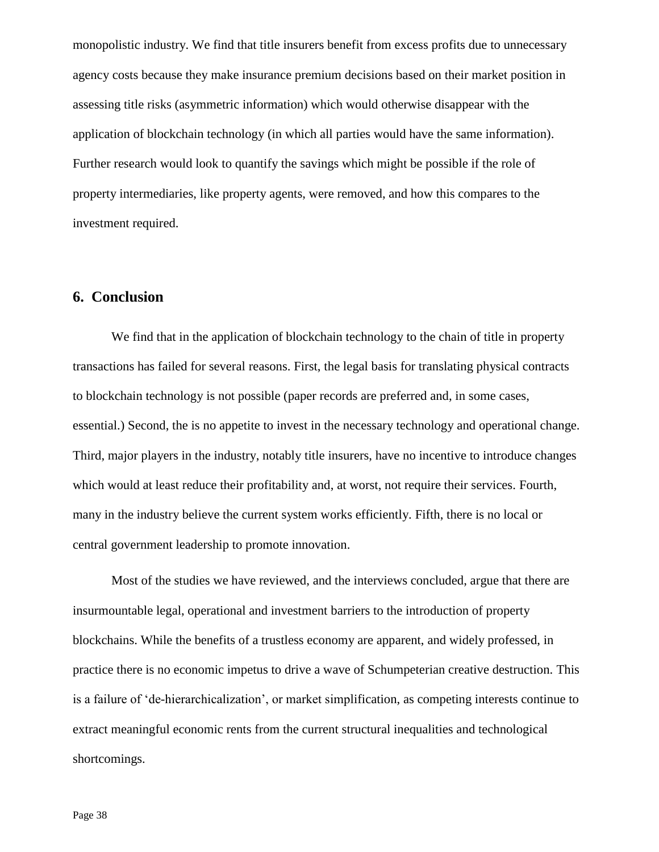monopolistic industry. We find that title insurers benefit from excess profits due to unnecessary agency costs because they make insurance premium decisions based on their market position in assessing title risks (asymmetric information) which would otherwise disappear with the application of blockchain technology (in which all parties would have the same information). Further research would look to quantify the savings which might be possible if the role of property intermediaries, like property agents, were removed, and how this compares to the investment required.

#### **6. Conclusion**

We find that in the application of blockchain technology to the chain of title in property transactions has failed for several reasons. First, the legal basis for translating physical contracts to blockchain technology is not possible (paper records are preferred and, in some cases, essential.) Second, the is no appetite to invest in the necessary technology and operational change. Third, major players in the industry, notably title insurers, have no incentive to introduce changes which would at least reduce their profitability and, at worst, not require their services. Fourth, many in the industry believe the current system works efficiently. Fifth, there is no local or central government leadership to promote innovation.

Most of the studies we have reviewed, and the interviews concluded, argue that there are insurmountable legal, operational and investment barriers to the introduction of property blockchains. While the benefits of a trustless economy are apparent, and widely professed, in practice there is no economic impetus to drive a wave of Schumpeterian creative destruction. This is a failure of 'de-hierarchicalization', or market simplification, as competing interests continue to extract meaningful economic rents from the current structural inequalities and technological shortcomings.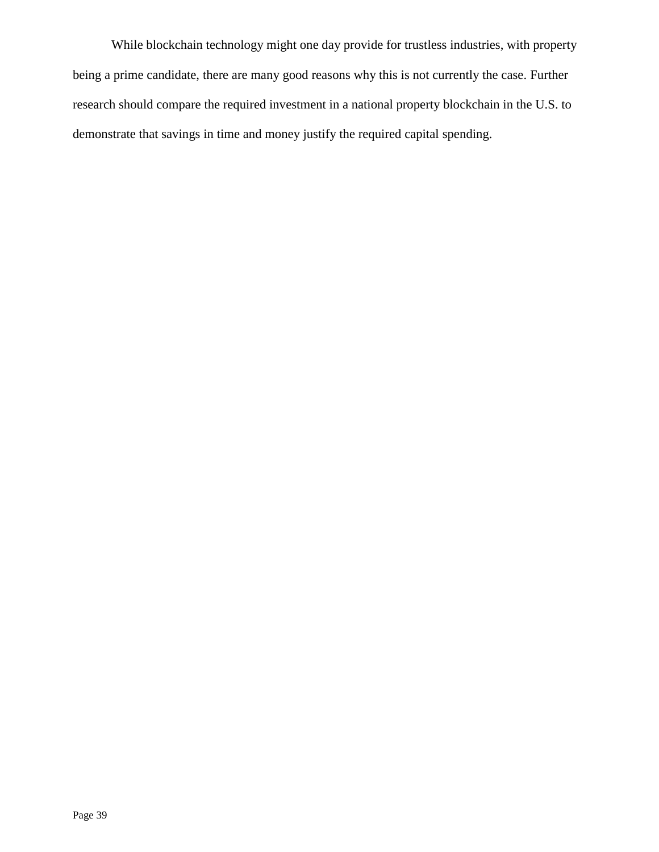While blockchain technology might one day provide for trustless industries, with property being a prime candidate, there are many good reasons why this is not currently the case. Further research should compare the required investment in a national property blockchain in the U.S. to demonstrate that savings in time and money justify the required capital spending.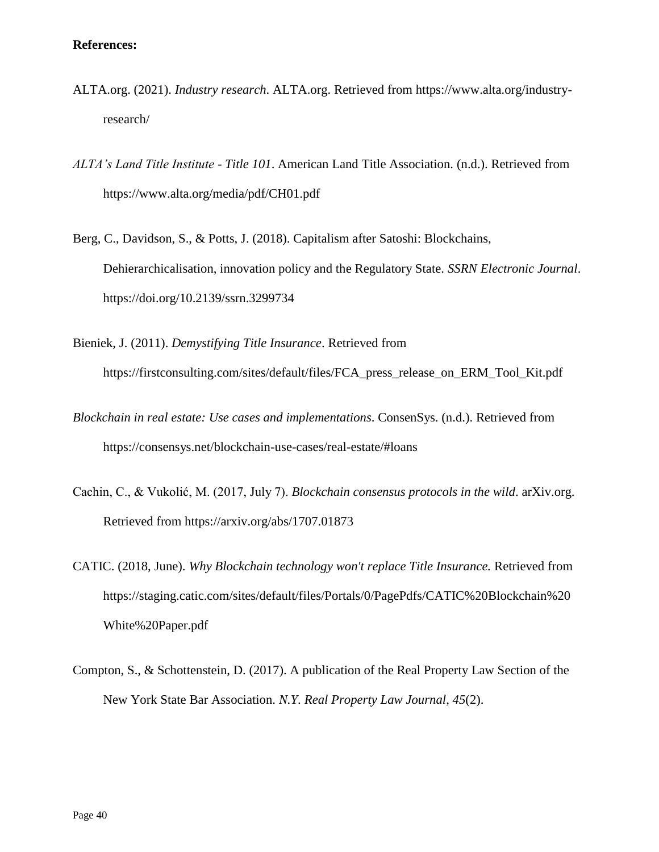- ALTA.org. (2021). *Industry research*. ALTA.org. Retrieved from https://www.alta.org/industryresearch/
- *ALTA's Land Title Institute - Title 101*. American Land Title Association. (n.d.). Retrieved from https://www.alta.org/media/pdf/CH01.pdf
- Berg, C., Davidson, S., & Potts, J. (2018). Capitalism after Satoshi: Blockchains, Dehierarchicalisation, innovation policy and the Regulatory State. *SSRN Electronic Journal*. https://doi.org/10.2139/ssrn.3299734
- Bieniek, J. (2011). *Demystifying Title Insurance*. Retrieved from https://firstconsulting.com/sites/default/files/FCA\_press\_release\_on\_ERM\_Tool\_Kit.pdf
- *Blockchain in real estate: Use cases and implementations*. ConsenSys. (n.d.). Retrieved from https://consensys.net/blockchain-use-cases/real-estate/#loans
- Cachin, C., & Vukolić, M. (2017, July 7). *Blockchain consensus protocols in the wild*. arXiv.org. Retrieved from https://arxiv.org/abs/1707.01873
- CATIC. (2018, June). *Why Blockchain technology won't replace Title Insurance.* Retrieved from https://staging.catic.com/sites/default/files/Portals/0/PagePdfs/CATIC%20Blockchain%20 White%20Paper.pdf
- Compton, S., & Schottenstein, D. (2017). A publication of the Real Property Law Section of the New York State Bar Association. *N.Y. Real Property Law Journal*, *45*(2).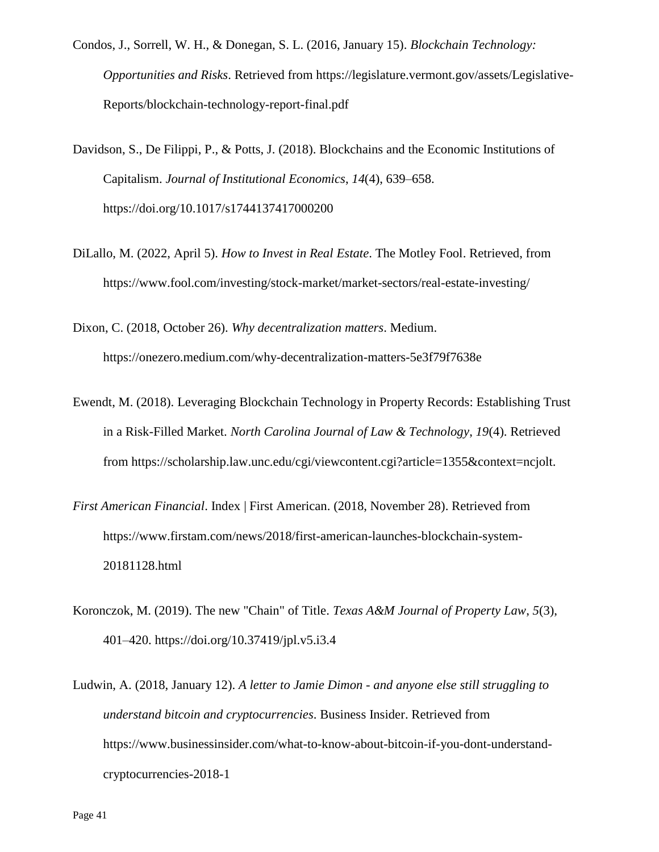- Condos, J., Sorrell, W. H., & Donegan, S. L. (2016, January 15). *Blockchain Technology: Opportunities and Risks*. Retrieved from https://legislature.vermont.gov/assets/Legislative-Reports/blockchain-technology-report-final.pdf
- Davidson, S., De Filippi, P., & Potts, J. (2018). Blockchains and the Economic Institutions of Capitalism. *Journal of Institutional Economics*, *14*(4), 639–658. https://doi.org/10.1017/s1744137417000200
- DiLallo, M. (2022, April 5). *How to Invest in Real Estate*. The Motley Fool. Retrieved, from https://www.fool.com/investing/stock-market/market-sectors/real-estate-investing/

Dixon, C. (2018, October 26). *Why decentralization matters*. Medium. https://onezero.medium.com/why-decentralization-matters-5e3f79f7638e

- Ewendt, M. (2018). Leveraging Blockchain Technology in Property Records: Establishing Trust in a Risk-Filled Market. *North Carolina Journal of Law & Technology*, *19*(4). Retrieved from https://scholarship.law.unc.edu/cgi/viewcontent.cgi?article=1355&context=ncjolt.
- *First American Financial*. Index | First American. (2018, November 28). Retrieved from https://www.firstam.com/news/2018/first-american-launches-blockchain-system-20181128.html
- Koronczok, M. (2019). The new "Chain" of Title. *Texas A&M Journal of Property Law*, *5*(3), 401–420. https://doi.org/10.37419/jpl.v5.i3.4
- Ludwin, A. (2018, January 12). *A letter to Jamie Dimon - and anyone else still struggling to understand bitcoin and cryptocurrencies*. Business Insider. Retrieved from https://www.businessinsider.com/what-to-know-about-bitcoin-if-you-dont-understandcryptocurrencies-2018-1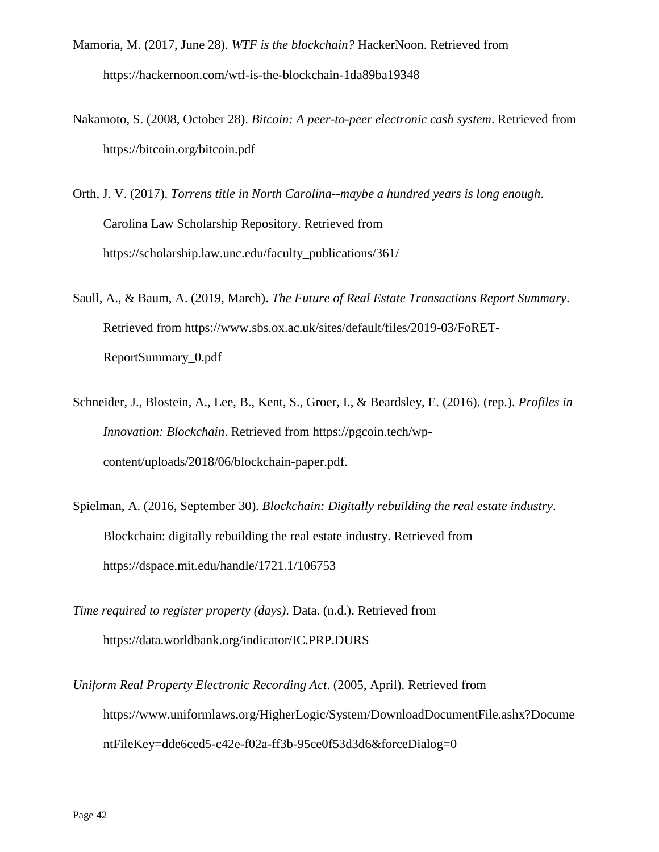- Mamoria, M. (2017, June 28). *WTF is the blockchain?* HackerNoon. Retrieved from https://hackernoon.com/wtf-is-the-blockchain-1da89ba19348
- Nakamoto, S. (2008, October 28). *Bitcoin: A peer-to-peer electronic cash system*. Retrieved from https://bitcoin.org/bitcoin.pdf
- Orth, J. V. (2017). *Torrens title in North Carolina--maybe a hundred years is long enough*. Carolina Law Scholarship Repository. Retrieved from https://scholarship.law.unc.edu/faculty\_publications/361/
- Saull, A., & Baum, A. (2019, March). *The Future of Real Estate Transactions Report Summary*. Retrieved from https://www.sbs.ox.ac.uk/sites/default/files/2019-03/FoRET-ReportSummary\_0.pdf
- Schneider, J., Blostein, A., Lee, B., Kent, S., Groer, I., & Beardsley, E. (2016). (rep.). *Profiles in Innovation: Blockchain*. Retrieved from https://pgcoin.tech/wpcontent/uploads/2018/06/blockchain-paper.pdf.
- Spielman, A. (2016, September 30). *Blockchain: Digitally rebuilding the real estate industry*. Blockchain: digitally rebuilding the real estate industry. Retrieved from https://dspace.mit.edu/handle/1721.1/106753
- *Time required to register property (days)*. Data. (n.d.). Retrieved from https://data.worldbank.org/indicator/IC.PRP.DURS
- *Uniform Real Property Electronic Recording Act*. (2005, April). Retrieved from https://www.uniformlaws.org/HigherLogic/System/DownloadDocumentFile.ashx?Docume ntFileKey=dde6ced5-c42e-f02a-ff3b-95ce0f53d3d6&forceDialog=0